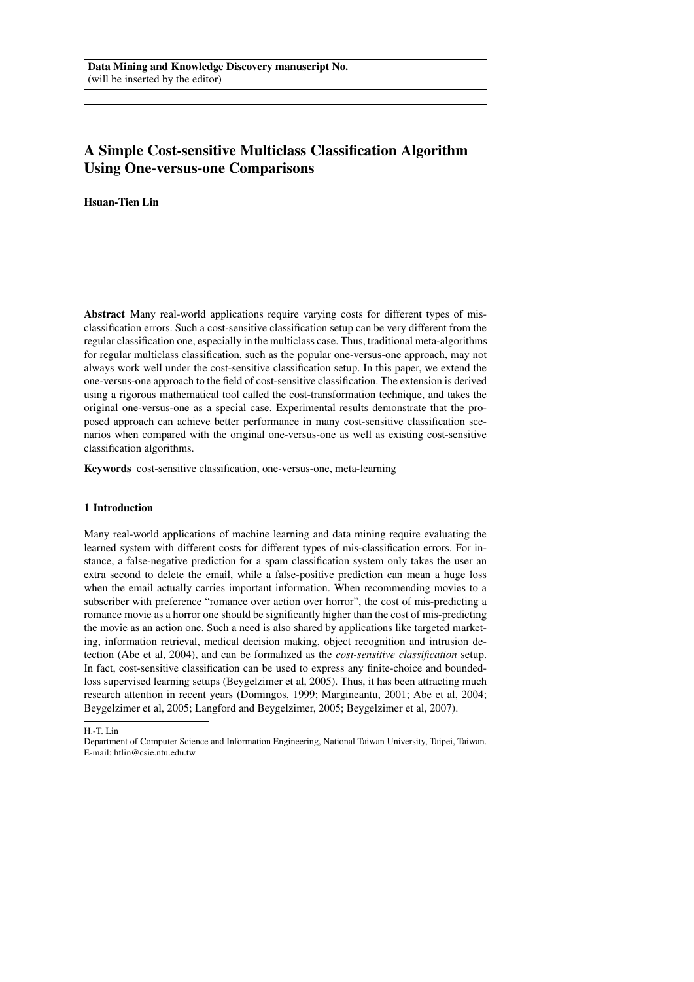# A Simple Cost-sensitive Multiclass Classification Algorithm Using One-versus-one Comparisons

Hsuan-Tien Lin

Abstract Many real-world applications require varying costs for different types of misclassification errors. Such a cost-sensitive classification setup can be very different from the regular classification one, especially in the multiclass case. Thus, traditional meta-algorithms for regular multiclass classification, such as the popular one-versus-one approach, may not always work well under the cost-sensitive classification setup. In this paper, we extend the one-versus-one approach to the field of cost-sensitive classification. The extension is derived using a rigorous mathematical tool called the cost-transformation technique, and takes the original one-versus-one as a special case. Experimental results demonstrate that the proposed approach can achieve better performance in many cost-sensitive classification scenarios when compared with the original one-versus-one as well as existing cost-sensitive classification algorithms.

Keywords cost-sensitive classification, one-versus-one, meta-learning

## 1 Introduction

Many real-world applications of machine learning and data mining require evaluating the learned system with different costs for different types of mis-classification errors. For instance, a false-negative prediction for a spam classification system only takes the user an extra second to delete the email, while a false-positive prediction can mean a huge loss when the email actually carries important information. When recommending movies to a subscriber with preference "romance over action over horror", the cost of mis-predicting a romance movie as a horror one should be significantly higher than the cost of mis-predicting the movie as an action one. Such a need is also shared by applications like targeted marketing, information retrieval, medical decision making, object recognition and intrusion detection (Abe et al, 2004), and can be formalized as the *cost-sensitive classification* setup. In fact, cost-sensitive classification can be used to express any finite-choice and boundedloss supervised learning setups (Beygelzimer et al, 2005). Thus, it has been attracting much research attention in recent years (Domingos, 1999; Margineantu, 2001; Abe et al, 2004; Beygelzimer et al, 2005; Langford and Beygelzimer, 2005; Beygelzimer et al, 2007).

H.-T. Lin

Department of Computer Science and Information Engineering, National Taiwan University, Taipei, Taiwan. E-mail: htlin@csie.ntu.edu.tw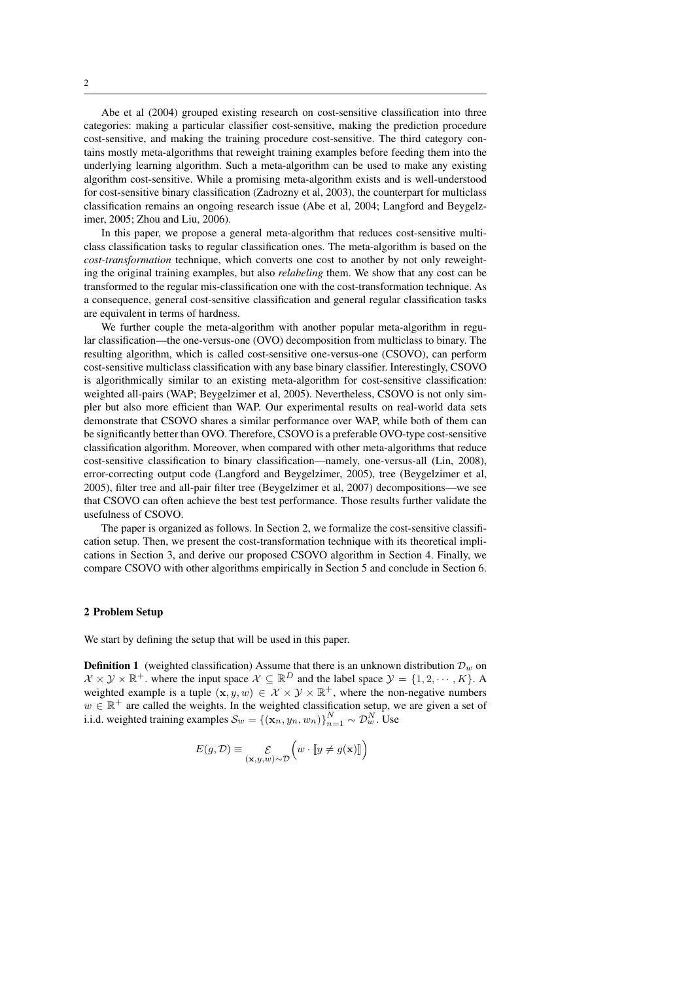Abe et al (2004) grouped existing research on cost-sensitive classification into three categories: making a particular classifier cost-sensitive, making the prediction procedure cost-sensitive, and making the training procedure cost-sensitive. The third category contains mostly meta-algorithms that reweight training examples before feeding them into the underlying learning algorithm. Such a meta-algorithm can be used to make any existing algorithm cost-sensitive. While a promising meta-algorithm exists and is well-understood for cost-sensitive binary classification (Zadrozny et al, 2003), the counterpart for multiclass classification remains an ongoing research issue (Abe et al, 2004; Langford and Beygelzimer, 2005; Zhou and Liu, 2006).

In this paper, we propose a general meta-algorithm that reduces cost-sensitive multiclass classification tasks to regular classification ones. The meta-algorithm is based on the *cost-transformation* technique, which converts one cost to another by not only reweighting the original training examples, but also *relabeling* them. We show that any cost can be transformed to the regular mis-classification one with the cost-transformation technique. As a consequence, general cost-sensitive classification and general regular classification tasks are equivalent in terms of hardness.

We further couple the meta-algorithm with another popular meta-algorithm in regular classification—the one-versus-one (OVO) decomposition from multiclass to binary. The resulting algorithm, which is called cost-sensitive one-versus-one (CSOVO), can perform cost-sensitive multiclass classification with any base binary classifier. Interestingly, CSOVO is algorithmically similar to an existing meta-algorithm for cost-sensitive classification: weighted all-pairs (WAP; Beygelzimer et al, 2005). Nevertheless, CSOVO is not only simpler but also more efficient than WAP. Our experimental results on real-world data sets demonstrate that CSOVO shares a similar performance over WAP, while both of them can be significantly better than OVO. Therefore, CSOVO is a preferable OVO-type cost-sensitive classification algorithm. Moreover, when compared with other meta-algorithms that reduce cost-sensitive classification to binary classification—namely, one-versus-all (Lin, 2008), error-correcting output code (Langford and Beygelzimer, 2005), tree (Beygelzimer et al, 2005), filter tree and all-pair filter tree (Beygelzimer et al, 2007) decompositions—we see that CSOVO can often achieve the best test performance. Those results further validate the usefulness of CSOVO.

The paper is organized as follows. In Section 2, we formalize the cost-sensitive classification setup. Then, we present the cost-transformation technique with its theoretical implications in Section 3, and derive our proposed CSOVO algorithm in Section 4. Finally, we compare CSOVO with other algorithms empirically in Section 5 and conclude in Section 6.

## 2 Problem Setup

We start by defining the setup that will be used in this paper.

**Definition 1** (weighted classification) Assume that there is an unknown distribution  $\mathcal{D}_w$  on  $\mathcal{X} \times \mathcal{Y} \times \mathbb{R}^+$  where the input space  $\mathcal{X} \subseteq \mathbb{R}^D$  and the label space  $\mathcal{Y} = \{1, 2, \cdots, K\}$ . A weighted example is a tuple  $(x, y, w) \in \mathcal{X} \times \mathcal{Y} \times \mathbb{R}^+$ , where the non-negative numbers  $w \in \mathbb{R}^+$  are called the weights. In the weighted classification setup, we are given a set of i.i.d. weighted training examples  $\mathcal{S}_w = \{(\mathbf{x}_n, y_n, w_n)\}_{n=1}^N \sim \mathcal{D}_w^N$ . Use

$$
E(g,\mathcal{D}) \equiv \mathop{\mathcal{E}}_{(\mathbf{x},y,w)\sim\mathcal{D}} \left( w \cdot \llbracket y \neq g(\mathbf{x}) \rrbracket \right)
$$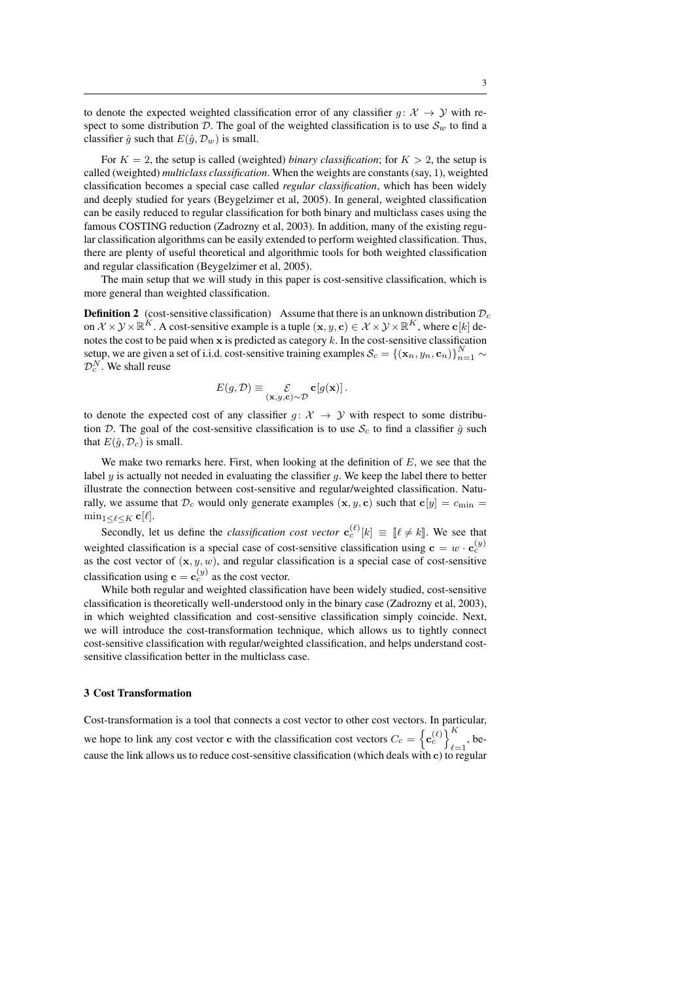to denote the expected weighted classification error of any classifier  $q: \mathcal{X} \to \mathcal{Y}$  with respect to some distribution D. The goal of the weighted classification is to use  $S_w$  to find a classifier  $\hat{g}$  such that  $E(\hat{g}, \mathcal{D}_w)$  is small.

For  $K = 2$ , the setup is called (weighted) *binary classification*; for  $K > 2$ , the setup is called (weighted) *multiclass classification*. When the weights are constants (say, 1), weighted classification becomes a special case called *regular classification*, which has been widely and deeply studied for years (Beygelzimer et al, 2005). In general, weighted classification can be easily reduced to regular classification for both binary and multiclass cases using the famous COSTING reduction (Zadrozny et al, 2003). In addition, many of the existing regular classification algorithms can be easily extended to perform weighted classification. Thus, there are plenty of useful theoretical and algorithmic tools for both weighted classification and regular classification (Beygelzimer et al, 2005).

The main setup that we will study in this paper is cost-sensitive classification, which is more general than weighted classification.

**Definition 2** (cost-sensitive classification) Assume that there is an unknown distribution  $\mathcal{D}_c$ on  $\mathcal{X} \times \mathcal{Y} \times \mathbb{R}^K$ . A cost-sensitive example is a tuple  $(\mathbf{x}, y, \mathbf{c}) \in \mathcal{X} \times \mathcal{Y} \times \mathbb{R}^K$ , where  $\mathbf{c}[k]$  denotes the cost to be paid when x is predicted as category  $k$ . In the cost-sensitive classification setup, we are given a set of i.i.d. cost-sensitive training examples  $S_c = \{(\mathbf{x}_n, y_n, \mathbf{c}_n)\}_{n=1}^N \sim$  $\mathcal{D}_{c}^{N}$ . We shall reuse

$$
E(g,\mathcal{D}) \equiv \mathop{\mathcal{E}}_{(\mathbf{x},y,\mathbf{c}) \sim \mathcal{D}} \mathbf{c}[g(\mathbf{x})].
$$

to denote the expected cost of any classifier  $g: \mathcal{X} \to \mathcal{Y}$  with respect to some distribution  $\mathcal{D}$ . The goal of the cost-sensitive classification is to use  $\mathcal{S}_c$  to find a classifier  $\hat{q}$  such that  $E(\hat{g}, \mathcal{D}_c)$  is small.

We make two remarks here. First, when looking at the definition of  $E$ , we see that the label  $y$  is actually not needed in evaluating the classifier  $g$ . We keep the label there to better illustrate the connection between cost-sensitive and regular/weighted classification. Naturally, we assume that  $\mathcal{D}_c$  would only generate examples  $(\mathbf{x}, y, \mathbf{c})$  such that  $\mathbf{c}[y] = c_{\text{min}} =$  $\min_{1 \leq \ell \leq K} \mathbf{c}[\ell].$ 

Secondly, let us define the *classification cost vector*  $\mathbf{c}_c^{(\ell)}[k] \equiv [\ell \neq k]$ . We see that weighted classification is a special case of cost-sensitive classification using  $\mathbf{c} = w \cdot \mathbf{c}_c^{(y)}$ as the cost vector of  $(x, y, w)$ , and regular classification is a special case of cost-sensitive classification using  $\mathbf{c} = \mathbf{c}_c^{(y)}$  as the cost vector.

While both regular and weighted classification have been widely studied, cost-sensitive classification is theoretically well-understood only in the binary case (Zadrozny et al, 2003), in which weighted classification and cost-sensitive classification simply coincide. Next, we will introduce the cost-transformation technique, which allows us to tightly connect cost-sensitive classification with regular/weighted classification, and helps understand costsensitive classification better in the multiclass case.

## 3 Cost Transformation

Cost-transformation is a tool that connects a cost vector to other cost vectors. In particular, we hope to link any cost vector c with the classification cost vectors  $C_c = \left\{ \mathbf{c}_c^{(\ell)} \right\}_{\ell}^K$  $_{\ell=1}$ , because the link allows us to reduce cost-sensitive classification (which deals with c) to regular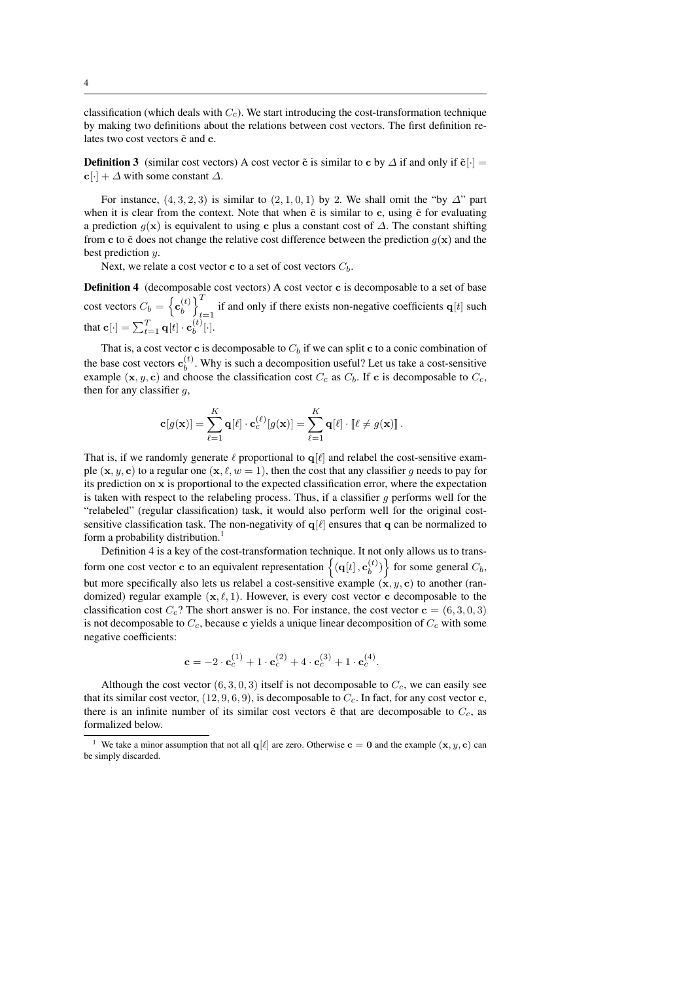classification (which deals with  $C_c$ ). We start introducing the cost-transformation technique by making two definitions about the relations between cost vectors. The first definition relates two cost vectors  $\tilde{c}$  and c.

**Definition 3** (similar cost vectors) A cost vector  $\tilde{c}$  is similar to c by  $\Delta$  if and only if  $\tilde{c}[\cdot]$  =  $c[\cdot] + \Delta$  with some constant  $\Delta$ .

For instance,  $(4, 3, 2, 3)$  is similar to  $(2, 1, 0, 1)$  by 2. We shall omit the "by  $\Delta$ " part when it is clear from the context. Note that when  $\tilde{c}$  is similar to c, using  $\tilde{c}$  for evaluating a prediction  $g(x)$  is equivalent to using c plus a constant cost of  $\Delta$ . The constant shifting from c to  $\tilde{c}$  does not change the relative cost difference between the prediction  $g(x)$  and the best prediction  $u$ .

Next, we relate a cost vector **c** to a set of cost vectors  $C_b$ .

Definition 4 (decomposable cost vectors) A cost vector c is decomposable to a set of base cost vectors  $C_b = \left\{ \mathbf{c}_b^{(t)} \right\}$  $\begin{bmatrix} t \\ b \end{bmatrix}$ if and only if there exists non-negative coefficients  $q[t]$  such that  $\mathbf{c}[\cdot] = \sum_{t=1}^{T} \mathbf{q}[t] \cdot \mathbf{c}_b^{(t)}$  $\binom{b}{b}[\cdot]$ .

That is, a cost vector **c** is decomposable to  $C_b$  if we can split **c** to a conic combination of the base cost vectors  $\mathbf{c}_h^{(t)}$  $b<sup>{(t)}</sup>$ . Why is such a decomposition useful? Let us take a cost-sensitive example  $(x, y, c)$  and choose the classification cost  $C_c$  as  $C_b$ . If c is decomposable to  $C_c$ , then for any classifier  $g$ ,

$$
\mathbf{c}[g(\mathbf{x})] = \sum_{\ell=1}^K \mathbf{q}[\ell] \cdot \mathbf{c}_c^{(\ell)}[g(\mathbf{x})] = \sum_{\ell=1}^K \mathbf{q}[\ell] \cdot [\ell \neq g(\mathbf{x})] .
$$

That is, if we randomly generate  $\ell$  proportional to  $q[\ell]$  and relabel the cost-sensitive example  $(x, y, c)$  to a regular one  $(x, \ell, w = 1)$ , then the cost that any classifier q needs to pay for its prediction on x is proportional to the expected classification error, where the expectation is taken with respect to the relabeling process. Thus, if a classifier q performs well for the "relabeled" (regular classification) task, it would also perform well for the original costsensitive classification task. The non-negativity of  $q[\ell]$  ensures that q can be normalized to form a probability distribution.<sup>1</sup>

Definition 4 is a key of the cost-transformation technique. It not only allows us to transform one cost vector **c** to an equivalent representation  $\{(\mathbf{q}[t], \mathbf{c}_h^{(t)}\})$  $\binom{b}{b}$  for some general  $C_b$ , but more specifically also lets us relabel a cost-sensitive example  $(x, y, c)$  to another (randomized) regular example  $(x, \ell, 1)$ . However, is every cost vector c decomposable to the classification cost  $C_c$ ? The short answer is no. For instance, the cost vector  $\mathbf{c} = (6, 3, 0, 3)$ is not decomposable to  $C_c$ , because c yields a unique linear decomposition of  $C_c$  with some negative coefficients:

$$
\mathbf{c} = -2 \cdot \mathbf{c}_{c}^{(1)} + 1 \cdot \mathbf{c}_{c}^{(2)} + 4 \cdot \mathbf{c}_{c}^{(3)} + 1 \cdot \mathbf{c}_{c}^{(4)}.
$$

Although the cost vector  $(6, 3, 0, 3)$  itself is not decomposable to  $C_c$ , we can easily see that its similar cost vector,  $(12, 9, 6, 9)$ , is decomposable to  $C_c$ . In fact, for any cost vector c, there is an infinite number of its similar cost vectors  $\tilde{c}$  that are decomposable to  $C_c$ , as formalized below.

<sup>&</sup>lt;sup>1</sup> We take a minor assumption that not all  $q[\ell]$  are zero. Otherwise **c** = 0 and the example  $(x, y, c)$  can be simply discarded.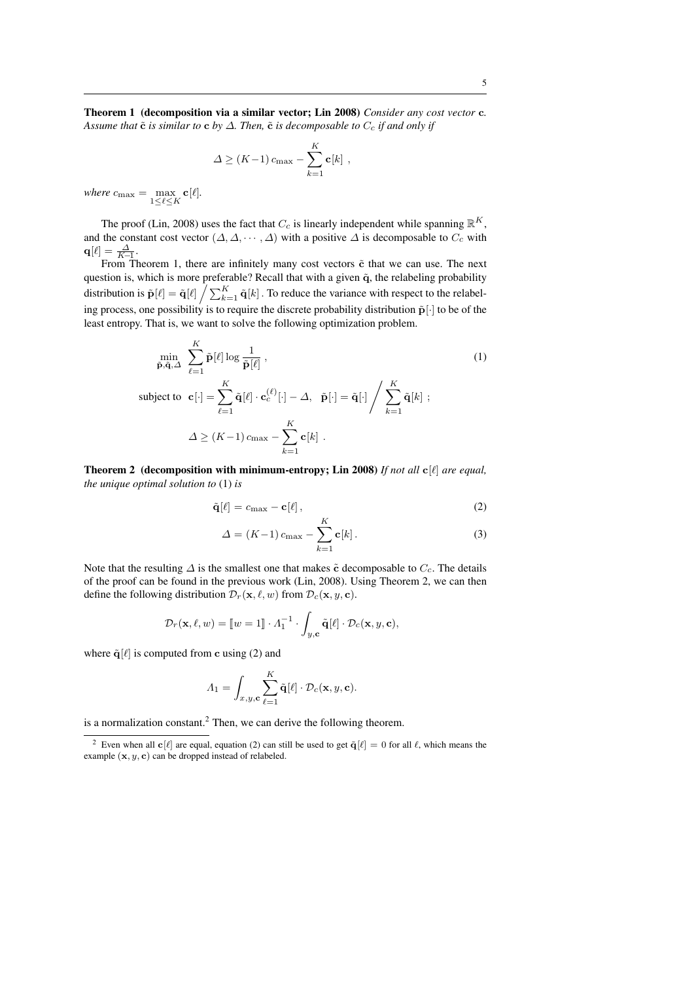$$
\Delta \ge (K-1) c_{\max} - \sum_{k=1}^{K} \mathbf{c}[k],
$$

where  $c_{\text{max}} = \max_{1 \leq \ell \leq K} \mathbf{c}[\ell].$ 

The proof (Lin, 2008) uses the fact that  $C_c$  is linearly independent while spanning  $\mathbb{R}^K$ , and the constant cost vector  $(\Delta, \Delta, \cdots, \Delta)$  with a positive  $\Delta$  is decomposable to  $C_c$  with  ${\bf q}[\ell] = \frac{\varDelta}{K\!-\!1}.$ 

From Theorem 1, there are infinitely many cost vectors  $\tilde{c}$  that we can use. The next question is, which is more preferable? Recall that with a given  $\tilde{q}$ , the relabeling probability distribution is  $\tilde{\mathbf{p}}[\ell] = \tilde{\mathbf{q}}[\ell] / \sum_{k=1}^{K} \tilde{\mathbf{q}}[k]$ . To reduce the variance with respect to the relabeling process, one possibility is to require the discrete probability distribution  $\tilde{\mathbf{p}}[\cdot]$  to be of the least entropy. That is, we want to solve the following optimization problem.

$$
\min_{\tilde{\mathbf{p}}, \tilde{\mathbf{q}}, \Delta} \sum_{\ell=1}^{K} \tilde{\mathbf{p}}[\ell] \log \frac{1}{\tilde{\mathbf{p}}[\ell]},
$$
\n
$$
\text{subject to } \mathbf{c}[\cdot] = \sum_{\ell=1}^{K} \tilde{\mathbf{q}}[\ell] \cdot \mathbf{c}_{c}^{(\ell)}[\cdot] - \Delta, \quad \tilde{\mathbf{p}}[\cdot] = \tilde{\mathbf{q}}[\cdot] \Bigg/ \sum_{k=1}^{K} \tilde{\mathbf{q}}[k];
$$
\n
$$
\Delta \geq (K-1) \, c_{\text{max}} - \sum_{k=1}^{K} \mathbf{c}[k].
$$
\n(1)

Theorem 2 (decomposition with minimum-entropy; Lin 2008) *If not all*  $c[\ell]$  *are equal, the unique optimal solution to* (1) *is*

$$
\tilde{\mathbf{q}}[\ell] = c_{\text{max}} - \mathbf{c}[\ell], \qquad (2)
$$

$$
\Delta = (K-1)c_{\max} - \sum_{k=1}^{K} \mathbf{c}[k].
$$
\n(3)

Note that the resulting  $\Delta$  is the smallest one that makes  $\tilde{c}$  decomposable to  $C_c$ . The details of the proof can be found in the previous work (Lin, 2008). Using Theorem 2, we can then define the following distribution  $\mathcal{D}_r(\mathbf{x}, \ell, w)$  from  $\mathcal{D}_c(\mathbf{x}, y, c)$ .

$$
\mathcal{D}_r(\mathbf{x}, \ell, w) = [\![w = 1]\!] \cdot \Lambda_1^{-1} \cdot \int_{y, \mathbf{c}} \tilde{\mathbf{q}}[\ell] \cdot \mathcal{D}_c(\mathbf{x}, y, \mathbf{c}),
$$

where  $\tilde{\mathbf{q}}[\ell]$  is computed from c using (2) and

$$
\Lambda_1 = \int_{x,y,\mathbf{c}} \sum_{\ell=1}^K \tilde{\mathbf{q}}[\ell] \cdot \mathcal{D}_c(\mathbf{x}, y, \mathbf{c}).
$$

is a normalization constant.<sup>2</sup> Then, we can derive the following theorem.

<sup>&</sup>lt;sup>2</sup> Even when all  $c[\ell]$  are equal, equation (2) can still be used to get  $\tilde{q}[\ell] = 0$  for all  $\ell$ , which means the example  $(x, y, c)$  can be dropped instead of relabeled.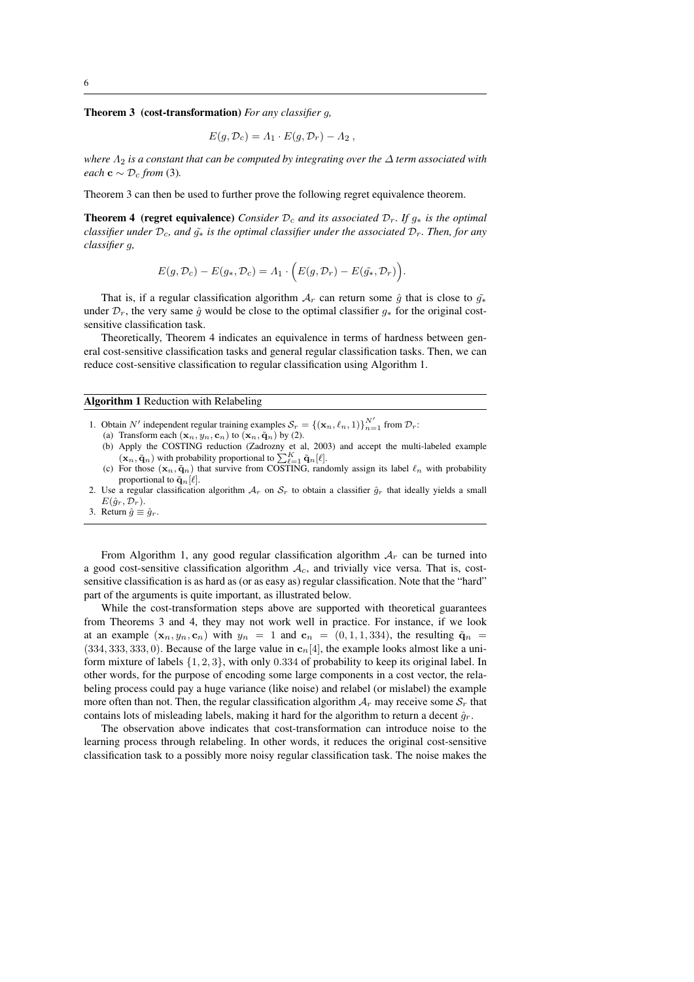Theorem 3 (cost-transformation) *For any classifier* g*,*

$$
E(g, \mathcal{D}_c) = \Lambda_1 \cdot E(g, \mathcal{D}_r) - \Lambda_2 ,
$$

*where*  $Λ_2$  *is a constant that can be computed by integrating over the*  $Δ$  *term associated with each* **c** ∼  $\mathcal{D}_c$  *from* (3).

Theorem 3 can then be used to further prove the following regret equivalence theorem.

**Theorem 4** (regret equivalence) *Consider*  $\mathcal{D}_c$  *and its associated*  $\mathcal{D}_r$ *. If*  $g_*$  *is the optimal classifier under*  $\mathcal{D}_c$ *, and*  $\tilde{g}_∗$  *is the optimal classifier under the associated*  $\mathcal{D}_r$ *. Then, for any classifier* g*,*

$$
E(g, \mathcal{D}_c) - E(g_*, \mathcal{D}_c) = \Lambda_1 \cdot \Big( E(g, \mathcal{D}_r) - E(\tilde{g_*}, \mathcal{D}_r) \Big).
$$

That is, if a regular classification algorithm  $A_r$  can return some  $\hat{g}$  that is close to  $\tilde{g}_{*}$ under  $\mathcal{D}_r$ , the very same  $\hat{g}$  would be close to the optimal classifier  $g_*$  for the original costsensitive classification task.

Theoretically, Theorem 4 indicates an equivalence in terms of hardness between general cost-sensitive classification tasks and general regular classification tasks. Then, we can reduce cost-sensitive classification to regular classification using Algorithm 1.

Algorithm 1 Reduction with Relabeling

- 1. Obtain N' independent regular training examples  $S_r = \{(\mathbf{x}_n, \ell_n, 1)\}_{n=1}^{N'}$  from  $\mathcal{D}_r$ :
	- (a) Transform each  $(\mathbf{x}_n, y_n, \mathbf{c}_n)$  to  $(\mathbf{x}_n, \tilde{\mathbf{q}}_n)$  by (2).
	- (b) Apply the COSTING reduction (Zadrozny et al, 2003) and accept the multi-labeled example  $(\mathbf{x}_n, \tilde{\mathbf{q}}_n)$  with probability proportional to  $\sum_{\ell=1}^K \tilde{\mathbf{q}}_n[\ell].$
	- (c) For those  $(x_n, \tilde{q}_n)$  that survive from COSTING, randomly assign its label  $\ell_n$  with probability proportional to  $\tilde{\mathbf{q}}_n[\ell]$ .
- 2. Use a regular classification algorithm  $A_r$  on  $S_r$  to obtain a classifier  $\hat{g}_r$  that ideally yields a small  $E(\hat{g}_r, \mathcal{D}_r).$
- 3. Return  $\hat{g} \equiv \hat{g}_r$

From Algorithm 1, any good regular classification algorithm  $A_r$  can be turned into a good cost-sensitive classification algorithm  $A_c$ , and trivially vice versa. That is, costsensitive classification is as hard as (or as easy as) regular classification. Note that the "hard" part of the arguments is quite important, as illustrated below.

While the cost-transformation steps above are supported with theoretical guarantees from Theorems 3 and 4, they may not work well in practice. For instance, if we look at an example  $(x_n, y_n, c_n)$  with  $y_n = 1$  and  $c_n = (0, 1, 1, 334)$ , the resulting  $\tilde{q}_n =$  $(334, 333, 333, 0)$ . Because of the large value in  $c_n[4]$ , the example looks almost like a uniform mixture of labels {1, 2, 3}, with only 0.334 of probability to keep its original label. In other words, for the purpose of encoding some large components in a cost vector, the relabeling process could pay a huge variance (like noise) and relabel (or mislabel) the example more often than not. Then, the regular classification algorithm  $A_r$  may receive some  $S_r$  that contains lots of misleading labels, making it hard for the algorithm to return a decent  $\hat{g}_r$ .

The observation above indicates that cost-transformation can introduce noise to the learning process through relabeling. In other words, it reduces the original cost-sensitive classification task to a possibly more noisy regular classification task. The noise makes the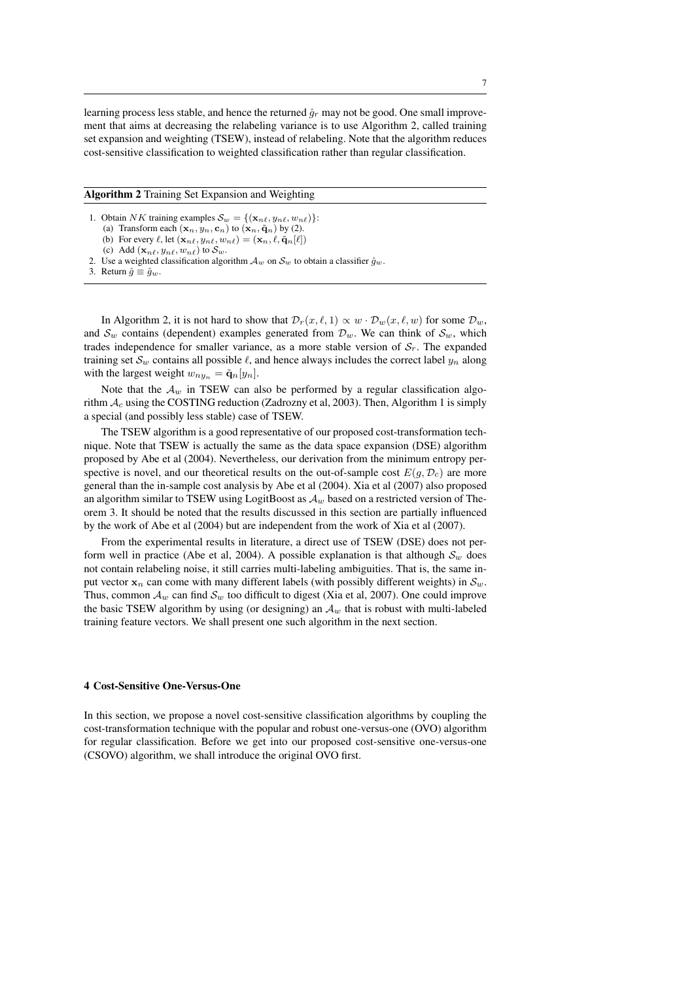learning process less stable, and hence the returned  $\hat{g}_r$  may not be good. One small improvement that aims at decreasing the relabeling variance is to use Algorithm 2, called training set expansion and weighting (TSEW), instead of relabeling. Note that the algorithm reduces cost-sensitive classification to weighted classification rather than regular classification.

Algorithm 2 Training Set Expansion and Weighting

- 1. Obtain NK training examples  $\mathcal{S}_w = \{(\mathbf{x}_{n\ell}, y_{n\ell}, w_{n\ell})\}$ :
	- (a) Transform each  $(\mathbf{x}_n, y_n, \mathbf{c}_n)$  to  $(\mathbf{x}_n, \tilde{\mathbf{q}}_n)$  by (2).
	- (b) For every  $\ell$ , let  $(\mathbf{x}_{n\ell}, y_{n\ell}, w_{n\ell}) = (\mathbf{x}_n, \ell, \tilde{\mathbf{q}}_n[\ell])$ (c) Add  $(\mathbf{x}_{n\ell}, y_{n\ell}, w_{n\ell})$  to  $\mathcal{S}_w$ .
- 2. Use a weighted classification algorithm  $\mathcal{A}_w$  on  $\mathcal{S}_w$  to obtain a classifier  $\hat{g}_w$ .
- 3. Return  $\hat{q} \equiv \hat{q}_w$ .

In Algorithm 2, it is not hard to show that  $\mathcal{D}_r(x, \ell, 1) \propto w \cdot \mathcal{D}_w(x, \ell, w)$  for some  $\mathcal{D}_w$ , and  $S_w$  contains (dependent) examples generated from  $\mathcal{D}_w$ . We can think of  $S_w$ , which trades independence for smaller variance, as a more stable version of  $S_r$ . The expanded training set  $\mathcal{S}_w$  contains all possible  $\ell$ , and hence always includes the correct label  $y_n$  along with the largest weight  $w_{ny_n} = \tilde{\mathbf{q}}_n[y_n].$ 

Note that the  $A_w$  in TSEW can also be performed by a regular classification algorithm  $A_c$  using the COSTING reduction (Zadrozny et al, 2003). Then, Algorithm 1 is simply a special (and possibly less stable) case of TSEW.

The TSEW algorithm is a good representative of our proposed cost-transformation technique. Note that TSEW is actually the same as the data space expansion (DSE) algorithm proposed by Abe et al (2004). Nevertheless, our derivation from the minimum entropy perspective is novel, and our theoretical results on the out-of-sample cost  $E(g, \mathcal{D}_c)$  are more general than the in-sample cost analysis by Abe et al (2004). Xia et al (2007) also proposed an algorithm similar to TSEW using LogitBoost as  $A_w$  based on a restricted version of Theorem 3. It should be noted that the results discussed in this section are partially influenced by the work of Abe et al (2004) but are independent from the work of Xia et al (2007).

From the experimental results in literature, a direct use of TSEW (DSE) does not perform well in practice (Abe et al, 2004). A possible explanation is that although  $\mathcal{S}_w$  does not contain relabeling noise, it still carries multi-labeling ambiguities. That is, the same input vector  $x_n$  can come with many different labels (with possibly different weights) in  $S_w$ . Thus, common  $\mathcal{A}_w$  can find  $\mathcal{S}_w$  too difficult to digest (Xia et al, 2007). One could improve the basic TSEW algorithm by using (or designing) an  $A_w$  that is robust with multi-labeled training feature vectors. We shall present one such algorithm in the next section.

#### 4 Cost-Sensitive One-Versus-One

In this section, we propose a novel cost-sensitive classification algorithms by coupling the cost-transformation technique with the popular and robust one-versus-one (OVO) algorithm for regular classification. Before we get into our proposed cost-sensitive one-versus-one (CSOVO) algorithm, we shall introduce the original OVO first.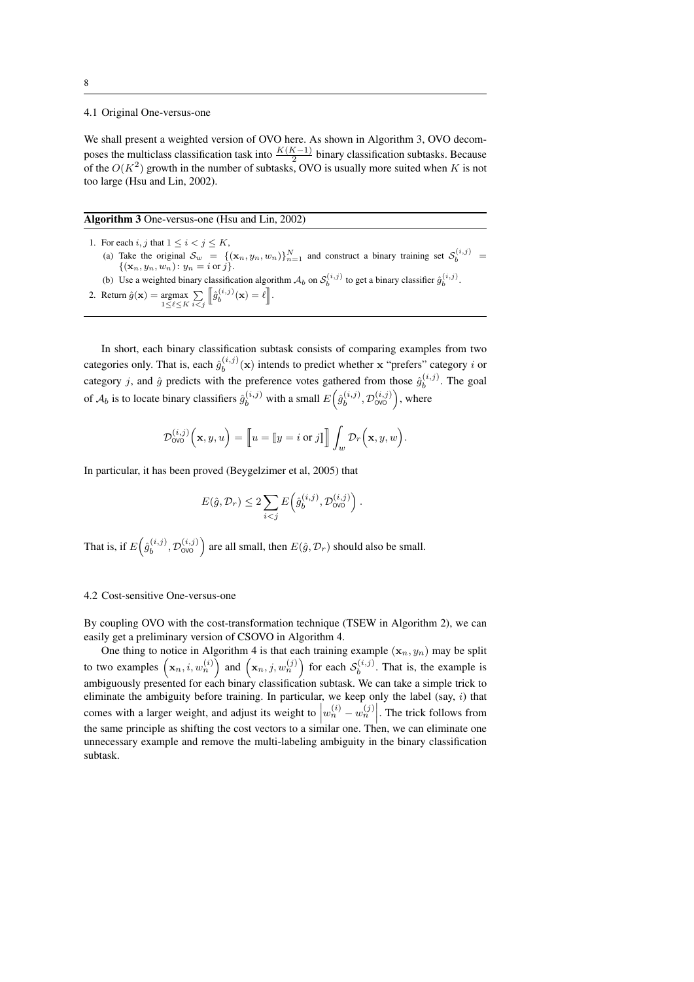## 4.1 Original One-versus-one

We shall present a weighted version of OVO here. As shown in Algorithm 3, OVO decomposes the multiclass classification task into  $\frac{K(K-1)}{2}$  binary classification subtasks. Because of the  $O(K^2)$  growth in the number of subtasks, OVO is usually more suited when K is not too large (Hsu and Lin, 2002).

Algorithm 3 One-versus-one (Hsu and Lin, 2002)

1. For each  $i,j$  that  $1\leq i< j\leq K,$ (a) Take the original  $S_w = \{(\mathbf{x}_n, y_n, w_n)\}_{n=1}^N$  and construct a binary training set  $S_b^{(i,j)} = \{(\mathbf{x}_n, y_n, w_n): y_n = i \text{ or } j\}.$ (b) Use a weighted binary classification algorithm  $A_b$  on  $S_b^{(i,j)}$  to get a binary classifier  $\hat{g}_b^{(i,j)}$ .

```
2. Return \hat{g}(\mathbf{x}) = \underset{1 \leq \ell \leq K}{\operatorname{argmax}} \sum_{i < j}\left[\hat{g}_b^{(i,j)}(\mathbf{x})=\ell\right].
```
In short, each binary classification subtask consists of comparing examples from two categories only. That is, each  $\hat{g}_h^{(i,j)}$  $b_b^{(i,j)}(\mathbf{x})$  intends to predict whether x "prefers" category i or category j, and  $\hat{g}$  predicts with the preference votes gathered from those  $\hat{g}_h^{(i,j)}$  $b^{(i,j)}$ . The goal of  $A_b$  is to locate binary classifiers  $\hat{g}_b^{(i,j)}$  with a small  $E(\hat{g}_b^{(i,j)})$  $b^{(i,j)}$ ,  $\mathcal{D}_{\text{OVO}}^{(i,j)}$ ), where

$$
\mathcal{D}_{\text{OVO}}^{(i,j)}\left(\mathbf{x}, y, u\right) = \left[\!\left[u = \left[\!\left[y = i \text{ or } j\right]\!\right]\!\right] \int_w \mathcal{D}_r\!\left(\mathbf{x}, y, w\right).
$$

In particular, it has been proved (Beygelzimer et al, 2005) that

$$
E(\hat{g}, \mathcal{D}_r) \leq 2 \sum_{i < j} E\left(\hat{g}_b^{(i,j)}, \mathcal{D}_{\text{OVO}}^{(i,j)}\right).
$$

That is, if  $E(\hat{g}_h^{(i,j)})$  $\left( \begin{matrix} (i,j) \ b \end{matrix} \right)$ ,  $\mathcal{D}_{\text{OVO}}^{(i,j)}$  are all small, then  $E(\hat{g}, \mathcal{D}_r)$  should also be small.

### 4.2 Cost-sensitive One-versus-one

By coupling OVO with the cost-transformation technique (TSEW in Algorithm 2), we can easily get a preliminary version of CSOVO in Algorithm 4.

One thing to notice in Algorithm 4 is that each training example  $(x_n, y_n)$  may be split to two examples  $(\mathbf{x}_n, i, w_n^{(i)})$  and  $(\mathbf{x}_n, j, w_n^{(j)})$  for each  $\mathcal{S}_b^{(i,j)}$  $b^{(i,j)}$ . That is, the example is ambiguously presented for each binary classification subtask. We can take a simple trick to eliminate the ambiguity before training. In particular, we keep only the label (say, i) that comes with a larger weight, and adjust its weight to  $\left| w_n^{(i)} - w_n^{(j)} \right|$ . The trick follows from the same principle as shifting the cost vectors to a similar one. Then, we can eliminate one unnecessary example and remove the multi-labeling ambiguity in the binary classification subtask.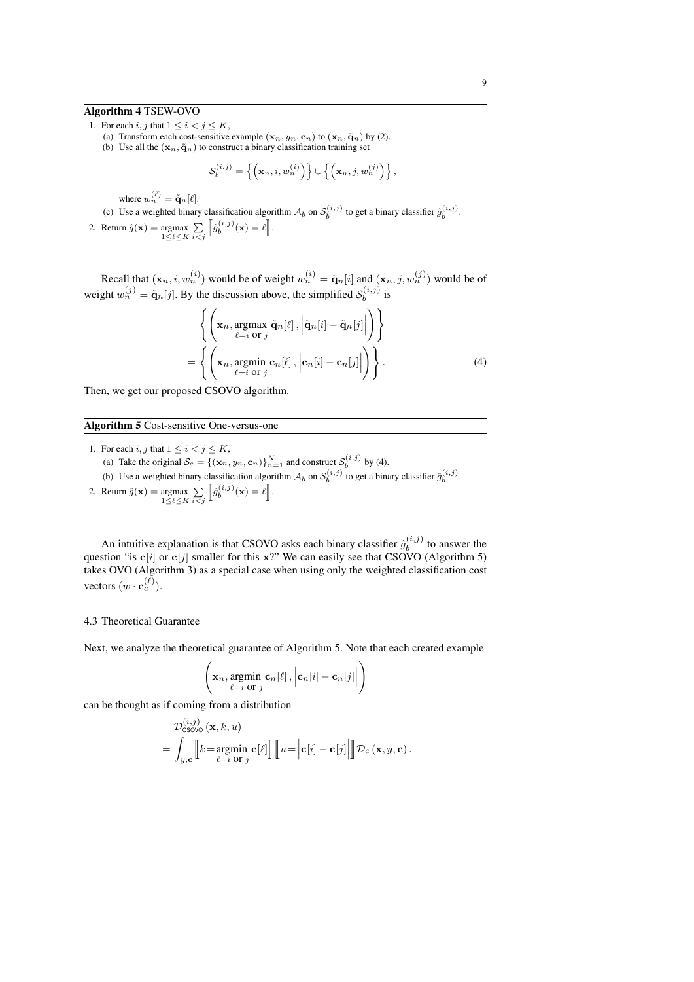## Algorithm 4 TSEW-OVO

1. For each i, j that  $1 \le i < j \le K$ ,

- (a) Transform each cost-sensitive example  $(\mathbf{x}_n, y_n, \mathbf{c}_n)$  to  $(\mathbf{x}_n, \tilde{\mathbf{q}}_n)$  by (2).
- (b) Use all the  $(x_n, \tilde{q}_n)$  to construct a binary classification training set

$$
\mathcal{S}_b^{(i,j)} = \left\{ \left( \mathbf{x}_n, i, w_n^{(i)} \right) \right\} \cup \left\{ \left( \mathbf{x}_n, j, w_n^{(j)} \right) \right\},\
$$

where  $w_n^{(\ell)} = \tilde{\mathbf{q}}_n[\ell].$ 

(c) Use a weighted binary classification algorithm  $A_b$  on  $S_b^{(i,j)}$  to get a binary classifier  $\hat{g}_b^{(i,j)}$ .

2. Return  $\hat{g}(\mathbf{x}) = \underset{1 \leq \ell \leq K}{\operatorname{argmax}} \sum_{i < j}$  $\left[\hat{g}_b^{(i,j)}(\mathbf{x})=\ell\right].$ 

Recall that  $(x_n, i, w_n^{(i)})$  would be of weight  $w_n^{(i)} = \tilde{q}_n[i]$  and  $(x_n, j, w_n^{(j)})$  would be of weight  $w_n^{(j)} = \tilde{\mathbf{q}}_n[j]$ . By the discussion above, the simplified  $\mathcal{S}_b^{(i,j)}$  $\int_b^{(i,j)}$  is

$$
\left\{ \left( \mathbf{x}_n, \underset{\ell=i}{\operatorname{argmax}} \ \tilde{\mathbf{q}}_n[\ell], \left| \tilde{\mathbf{q}}_n[i] - \tilde{\mathbf{q}}_n[j] \right| \right) \right\} = \left\{ \left( \mathbf{x}_n, \underset{\ell=i}{\operatorname{argmin}} \ \mathbf{c}_n[\ell], \left| \mathbf{c}_n[i] - \mathbf{c}_n[j] \right| \right) \right\}.
$$
 (4)

Then, we get our proposed CSOVO algorithm.

### Algorithm 5 Cost-sensitive One-versus-one

1. For each  $i,j$  that  $1\leq i < j \leq K,$ (a) Take the original  $S_c = \{(\mathbf{x}_n, y_n, \mathbf{c}_n)\}_{n=1}^N$  and construct  $S_b^{(i,j)}$  by (4). (b) Use a weighted binary classification algorithm  $A_b$  on  $S_b^{(i,j)}$  to get a binary classifier  $\hat{g}_b^{(i,j)}$ . 2. Return  $\hat{g}(\mathbf{x}) = \underset{1 \leq \ell \leq K}{\operatorname{argmax}} \sum_{i < j}$  $\left[\hat{g}_b^{(i,j)}(\mathbf{x})=\ell\right].$ 

An intuitive explanation is that CSOVO asks each binary classifier  $\hat{g}_h^{(i,j)}$  $b^{(i,j)}$  to answer the question "is  $c[i]$  or  $c[j]$  smaller for this x?" We can easily see that CSOVO (Algorithm 5) takes OVO (Algorithm 3) as a special case when using only the weighted classification cost vectors  $(w \cdot \mathbf{c}_c^{(\ell)})$ .

### 4.3 Theoretical Guarantee

Next, we analyze the theoretical guarantee of Algorithm 5. Note that each created example

$$
\left(\mathbf{x}_n, \underset{\ell=i}{\text{argmin}} \ \mathbf{c}_n[\ell], \left|\mathbf{c}_n[i] - \mathbf{c}_n[j]\right|\right)
$$

can be thought as if coming from a distribution  $\lambda$ ,  $\lambda$ 

$$
\mathcal{D}_{\mathsf{CSOW}}^{(i,j)}(\mathbf{x},k,u) = \int_{y,\mathbf{c}} \llbracket k = \operatornamewithlimits{argmin}_{\ell=i \text{ or } j} \mathbf{c}[\ell] \rrbracket \llbracket u = \left| \mathbf{c}[i] - \mathbf{c}[j] \right| \rrbracket \mathcal{D}_c(\mathbf{x},y,\mathbf{c}).
$$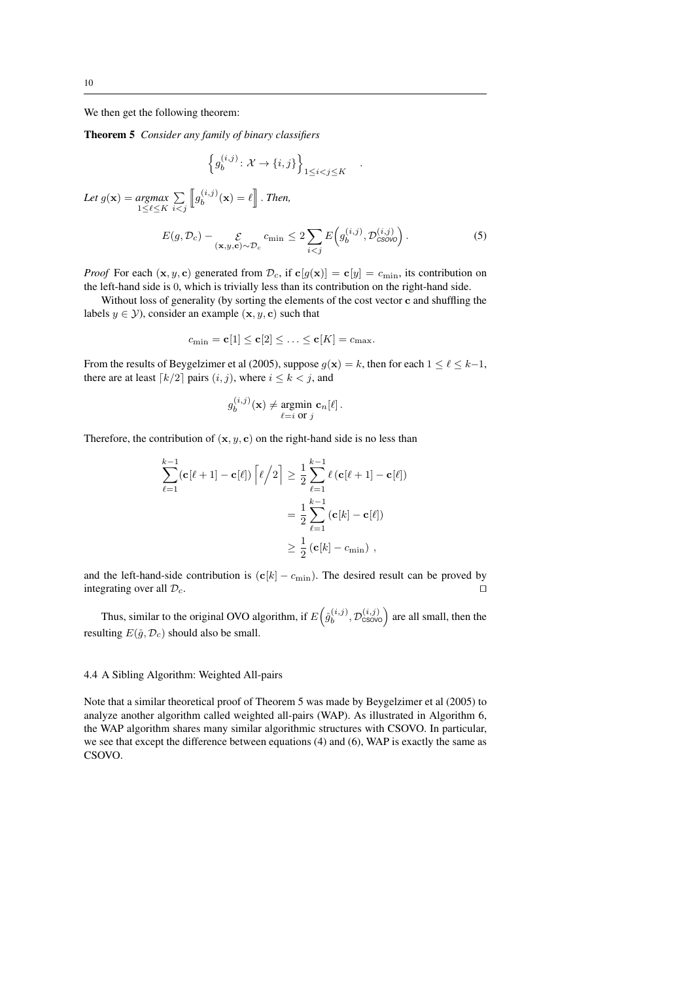We then get the following theorem:

Theorem 5 *Consider any family of binary classifiers*

$$
\left\{ g_b^{(i,j)} \colon \mathcal{X} \to \{i,j\} \right\}_{1 \le i < j \le K}
$$

Let  $g(\mathbf{x}) = \underset{1 \leq \ell \leq K}{argmax} \sum_{i \leq j}$  $i < j$  $\llbracket g_h^{(i,j)}$  $\ell_b^{(i,j)}(\mathbf{x}) = \ell \mathbb{R}$ . *Then,* 

$$
E(g, \mathcal{D}_c) - \mathop{\mathcal{E}}_{(\mathbf{x}, y, \mathbf{c}) \sim \mathcal{D}_c} c_{\min} \le 2 \sum_{i < j} E\Big(g_b^{(i,j)}, \mathcal{D}_{\text{CSOVO}}^{(i,j)}\Big). \tag{5}
$$

.

*Proof* For each  $(x, y, c)$  generated from  $\mathcal{D}_c$ , if  $c[g(x)] = c[y] = c_{\min}$ , its contribution on the left-hand side is 0, which is trivially less than its contribution on the right-hand side.

Without loss of generality (by sorting the elements of the cost vector c and shuffling the labels  $y \in \mathcal{Y}$ ), consider an example  $(x, y, c)$  such that

$$
c_{\min} = \mathbf{c}[1] \leq \mathbf{c}[2] \leq \ldots \leq \mathbf{c}[K] = c_{\max}.
$$

From the results of Beygelzimer et al (2005), suppose  $g(x) = k$ , then for each  $1 \leq \ell \leq k-1$ , there are at least  $\lceil k/2 \rceil$  pairs  $(i, j)$ , where  $i \leq k < j$ , and

$$
g_b^{(i,j)}(\mathbf{x}) \neq \underset{\ell=i \text{ or } j}{\text{argmin}} \mathbf{c}_n[\ell].
$$

Therefore, the contribution of  $(x, y, c)$  on the right-hand side is no less than

$$
\sum_{\ell=1}^{k-1} (\mathbf{c}[\ell+1] - \mathbf{c}[\ell]) \left[ \ell/2 \right] \ge \frac{1}{2} \sum_{\ell=1}^{k-1} \ell (\mathbf{c}[\ell+1] - \mathbf{c}[\ell])
$$

$$
= \frac{1}{2} \sum_{\ell=1}^{k-1} (\mathbf{c}[k] - \mathbf{c}[\ell])
$$

$$
\ge \frac{1}{2} (\mathbf{c}[k] - c_{\min}),
$$

and the left-hand-side contribution is  $(c[k] - c_{\text{min}})$ . The desired result can be proved by integrating over all  $\mathcal{D}_c$ .

Thus, similar to the original OVO algorithm, if  $E(\hat{g}_h^{(i,j)})$  $b_b^{(i,j)}, \mathcal{D}_{\text{CSOVO}}^{(i,j)}$  are all small, then the resulting  $E(\hat{g}, \mathcal{D}_c)$  should also be small.

## 4.4 A Sibling Algorithm: Weighted All-pairs

Note that a similar theoretical proof of Theorem 5 was made by Beygelzimer et al (2005) to analyze another algorithm called weighted all-pairs (WAP). As illustrated in Algorithm 6, the WAP algorithm shares many similar algorithmic structures with CSOVO. In particular, we see that except the difference between equations (4) and (6), WAP is exactly the same as CSOVO.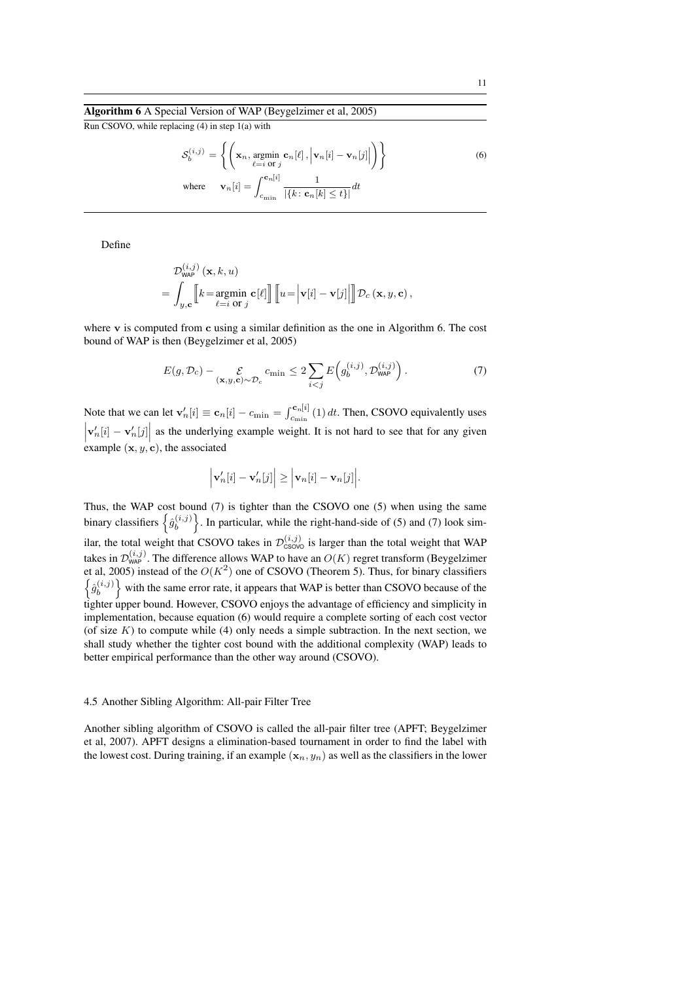## Algorithm 6 A Special Version of WAP (Beygelzimer et al, 2005)

Run CSOVO, while replacing (4) in step 1(a) with

$$
S_b^{(i,j)} = \left\{ \left( \mathbf{x}_n, \underset{\ell=i \text{ or } j}{\text{argmin}} \mathbf{c}_n[\ell], \left| \mathbf{v}_n[i] - \mathbf{v}_n[j] \right| \right) \right\}
$$
  
where 
$$
\mathbf{v}_n[i] = \int_{c_{\min}}^{c_n[i]} \frac{1}{|\{k : \mathbf{c}_n[k] \le t\}|} dt
$$
 (6)

Define

$$
\mathcal{D}_{\mathsf{wAP}}^{(i,j)}\left(\mathbf{x},k,u\right) \\ = \int_{y,\mathbf{c}} \!\!\!\left[\!\!\left[k\!=\!\operatorname*{argmin}_{\ell=i\text{ or }j}\mathbf{c}[\ell]\right]\!\!\right]\!\!\left[\!\left[u\!=\!\left|\mathbf{v}[i]\!-\!\mathbf{v}[j]\right|\right]\!\!\right] \!\mathcal{D}_{c}\left(\mathbf{x},y,\mathbf{c}\right),
$$

where  $\bf{v}$  is computed from  $\bf{c}$  using a similar definition as the one in Algorithm 6. The cost bound of WAP is then (Beygelzimer et al, 2005)

$$
E(g, \mathcal{D}_c) - \mathcal{E}_{(\mathbf{x}, y, \mathbf{c}) \sim \mathcal{D}_c} c_{\min} \le 2 \sum_{i < j} E\left(g_b^{(i,j)}, \mathcal{D}_{\mathsf{WAP}}^{(i,j)}\right). \tag{7}
$$

Note that we can let  $\mathbf{v}'_n[i] \equiv \mathbf{c}_n[i] - c_{\min} = \int_{c_{\min}}^{\mathbf{c}_n[i]} (1) dt$ . Then, CSOVO equivalently uses  $\left|\mathbf{v}'_n[i] - \mathbf{v}'_n[j]\right|$  as the underlying example weight. It is not hard to see that for any given example  $(x, y, c)$ , the associated

$$
\left|\mathbf{v}'_n[i] - \mathbf{v}'_n[j]\right| \ge \left|\mathbf{v}_n[i] - \mathbf{v}_n[j]\right|.
$$

Thus, the WAP cost bound (7) is tighter than the CSOVO one (5) when using the same binary classifiers  $\left\{\hat{g}_h^{(i,j)}\right\}$  $\binom{(i,j)}{b}$ . In particular, while the right-hand-side of (5) and (7) look similar, the total weight that CSOVO takes in  $\mathcal{D}_{\text{CSOVO}}^{(i,j)}$  is larger than the total weight that WAP takes in  $\mathcal{D}_{\mathsf{WAP}}^{(i,j)}$ . The difference allows WAP to have an  $O(K)$  regret transform (Beygelzimer et al, 2005) instead of the  $O(K^2)$  one of CSOVO (Theorem 5). Thus, for binary classifiers  $\left\{\hat{g}_{h}^{(i,j)}\right\}$  $\begin{bmatrix} (i,j) \\ b \end{bmatrix}$  with the same error rate, it appears that WAP is better than CSOVO because of the tighter upper bound. However, CSOVO enjoys the advantage of efficiency and simplicity in implementation, because equation (6) would require a complete sorting of each cost vector (of size  $K$ ) to compute while (4) only needs a simple subtraction. In the next section, we shall study whether the tighter cost bound with the additional complexity (WAP) leads to better empirical performance than the other way around (CSOVO).

#### 4.5 Another Sibling Algorithm: All-pair Filter Tree

Another sibling algorithm of CSOVO is called the all-pair filter tree (APFT; Beygelzimer et al, 2007). APFT designs a elimination-based tournament in order to find the label with the lowest cost. During training, if an example  $(x_n, y_n)$  as well as the classifiers in the lower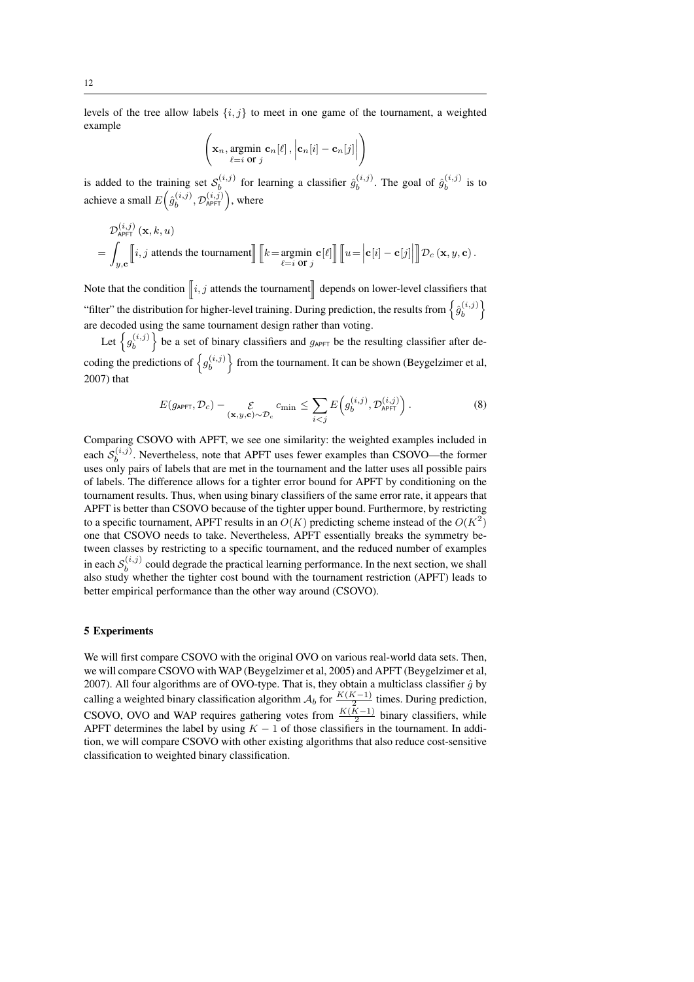levels of the tree allow labels  $\{i, j\}$  to meet in one game of the tournament, a weighted example

$$
\left(\mathbf{x}_n, \underset{\ell=i}{\text{argmin}} \ \mathbf{c}_n[\ell], \left|\mathbf{c}_n[i] - \mathbf{c}_n[j]\right|\right)
$$

is added to the training set  $S_h^{(i,j)}$  $\hat{b}^{(i,j)}$  for learning a classifier  $\hat{g}^{(i,j)}_b$  $\hat{b}^{(i,j)}$ . The goal of  $\hat{g}^{(i,j)}_b$  $b^{(i,j)}$  is to achieve a small  $Eig_{h}^{(i,j)}$  $b^{(i,j)}$ ,  $\mathcal{D}_{\mathsf{APFT}}^{(i,j)}$ ), where

$$
\mathcal{D}_{\text{APFT}}^{(i,j)}(\mathbf{x},k,u)
$$
  
= 
$$
\int_{y,\mathbf{c}} \left[ i,j \text{ at tends the tournament} \right] \left[ k = \underset{\ell=i \text{ or } j}{\text{argmin}} \mathbf{c}[\ell] \right] \left[ u = \left| \mathbf{c}[i] - \mathbf{c}[j] \right| \right] \mathcal{D}_c(\mathbf{x},y,\mathbf{c}).
$$

Note that the condition  $\left\| i, j \right.$  attends the tournament depends on lower-level classifiers that "filter" the distribution for higher-level training. During prediction, the results from  $\left\{\hat{g}_h^{(i,j)}\right\}$  $\left\{ \stackrel{(i,j)}{b} \right\}$ are decoded using the same tournament design rather than voting.

Let  $\left\{ g_h^{(i,j)} \right\}$  $\{b_i^{(i,j)}\}$  be a set of binary classifiers and  $g_{\text{APFT}}$  be the resulting classifier after decoding the predictions of  $\left\{g_h^{(i,j)}\right\}$  $\left\{ \begin{array}{c} (i,j) \\ b \end{array} \right\}$  from the tournament. It can be shown (Beygelzimer et al, 2007) that

$$
E(g_{\text{APFT}}, \mathcal{D}_c) - \mathcal{E}_{(\mathbf{x}, y, \mathbf{c}) \sim \mathcal{D}_c} c_{\min} \le \sum_{i < j} E\left(g_b^{(i,j)}, \mathcal{D}_{\text{APFT}}^{(i,j)}\right). \tag{8}
$$

Comparing CSOVO with APFT, we see one similarity: the weighted examples included in each  $S_h^{(i,j)}$  $b_b^{(v,y)}$ . Nevertheless, note that APFT uses fewer examples than CSOVO—the former uses only pairs of labels that are met in the tournament and the latter uses all possible pairs of labels. The difference allows for a tighter error bound for APFT by conditioning on the tournament results. Thus, when using binary classifiers of the same error rate, it appears that APFT is better than CSOVO because of the tighter upper bound. Furthermore, by restricting to a specific tournament, APFT results in an  $O(K)$  predicting scheme instead of the  $O(K^2)$ one that CSOVO needs to take. Nevertheless, APFT essentially breaks the symmetry between classes by restricting to a specific tournament, and the reduced number of examples in each  $\mathcal{S}_h^{(i,j)}$  $b<sub>b</sub>$  could degrade the practical learning performance. In the next section, we shall also study whether the tighter cost bound with the tournament restriction (APFT) leads to better empirical performance than the other way around (CSOVO).

## 5 Experiments

We will first compare CSOVO with the original OVO on various real-world data sets. Then, we will compare CSOVO with WAP (Beygelzimer et al, 2005) and APFT (Beygelzimer et al, 2007). All four algorithms are of OVO-type. That is, they obtain a multiclass classifier  $\hat{g}$  by calling a weighted binary classification algorithm  $A_b$  for  $\frac{K(K-1)}{2}$  times. During prediction, CSOVO, OVO and WAP requires gathering votes from  $\frac{K(K-1)}{2}$  binary classifiers, while APFT determines the label by using  $K - 1$  of those classifiers in the tournament. In addition, we will compare CSOVO with other existing algorithms that also reduce cost-sensitive classification to weighted binary classification.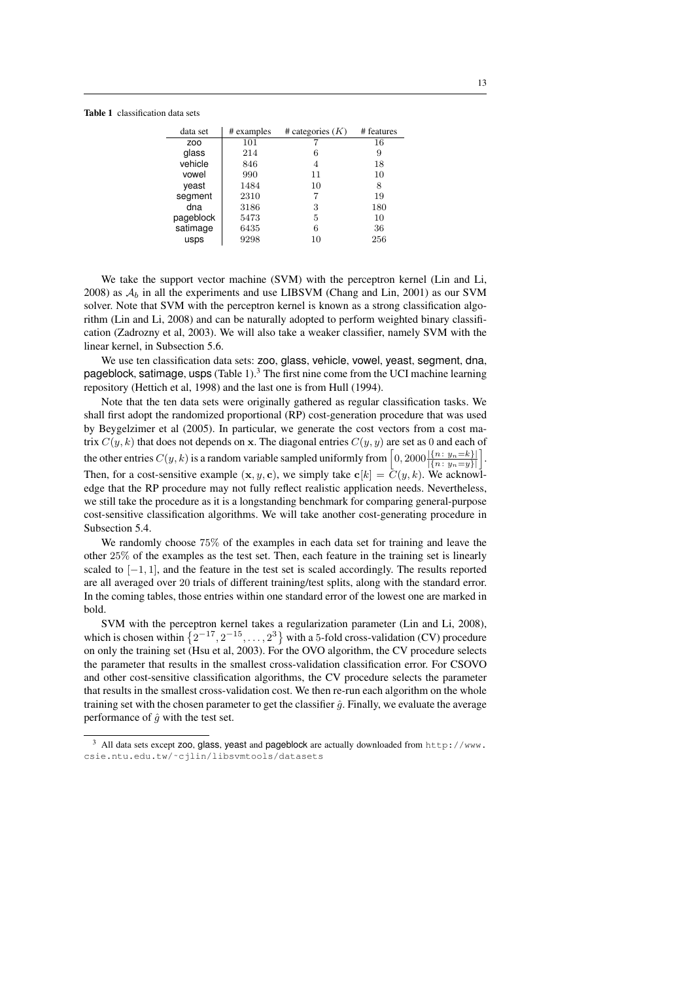#### Table 1 classification data sets

| data set   | # examples | # categories $(K)$ | # features |
|------------|------------|--------------------|------------|
| <b>ZOO</b> | 101        |                    | 16         |
| glass      | 214        | 6                  | 9          |
| vehicle    | 846        | 4                  | 18         |
| vowel      | 990        | 11                 | 10         |
| yeast      | 1484       | 10                 | 8          |
| segment    | 2310       |                    | 19         |
| dna        | 3186       | 3                  | 180        |
| pageblock  | 5473       | 5                  | 10         |
| satimage   | 6435       | 6                  | 36         |
| usps       | 9298       | 10                 | 256        |

We take the support vector machine (SVM) with the perceptron kernel (Lin and Li, 2008) as  $A_b$  in all the experiments and use LIBSVM (Chang and Lin, 2001) as our SVM solver. Note that SVM with the perceptron kernel is known as a strong classification algorithm (Lin and Li, 2008) and can be naturally adopted to perform weighted binary classification (Zadrozny et al, 2003). We will also take a weaker classifier, namely SVM with the linear kernel, in Subsection 5.6.

We use ten classification data sets: zoo, glass, vehicle, vowel, yeast, segment, dna, pageblock, satimage, usps  $(Table 1)<sup>3</sup>$  The first nine come from the UCI machine learning repository (Hettich et al, 1998) and the last one is from Hull (1994).

Note that the ten data sets were originally gathered as regular classification tasks. We shall first adopt the randomized proportional (RP) cost-generation procedure that was used by Beygelzimer et al (2005). In particular, we generate the cost vectors from a cost matrix  $C(y, k)$  that does not depends on x. The diagonal entries  $C(y, y)$  are set as 0 and each of the other entries  $C(y, k)$  is a random variable sampled uniformly from  $\left[0, 2000 \frac{|{n: y_n = k\}|}{|{n: y_n = y}\|}\right]$ . Then, for a cost-sensitive example  $(x, y, c)$ , we simply take  $c[k] = \overline{C(y, k)}$ . We acknowledge that the RP procedure may not fully reflect realistic application needs. Nevertheless, we still take the procedure as it is a longstanding benchmark for comparing general-purpose cost-sensitive classification algorithms. We will take another cost-generating procedure in Subsection 5.4.

We randomly choose 75% of the examples in each data set for training and leave the other 25% of the examples as the test set. Then, each feature in the training set is linearly scaled to [−1, 1], and the feature in the test set is scaled accordingly. The results reported are all averaged over 20 trials of different training/test splits, along with the standard error. In the coming tables, those entries within one standard error of the lowest one are marked in bold.

SVM with the perceptron kernel takes a regularization parameter (Lin and Li, 2008), which is chosen within  $\{2^{-17}, 2^{-15}, \ldots, 2^3\}$  with a 5-fold cross-validation (CV) procedure on only the training set (Hsu et al, 2003). For the OVO algorithm, the CV procedure selects the parameter that results in the smallest cross-validation classification error. For CSOVO and other cost-sensitive classification algorithms, the CV procedure selects the parameter that results in the smallest cross-validation cost. We then re-run each algorithm on the whole training set with the chosen parameter to get the classifier  $\hat{g}$ . Finally, we evaluate the average performance of  $\hat{g}$  with the test set.

 $3$  All data sets except zoo, glass, yeast and pageblock are actually downloaded from http://www. csie.ntu.edu.tw/˜cjlin/libsvmtools/datasets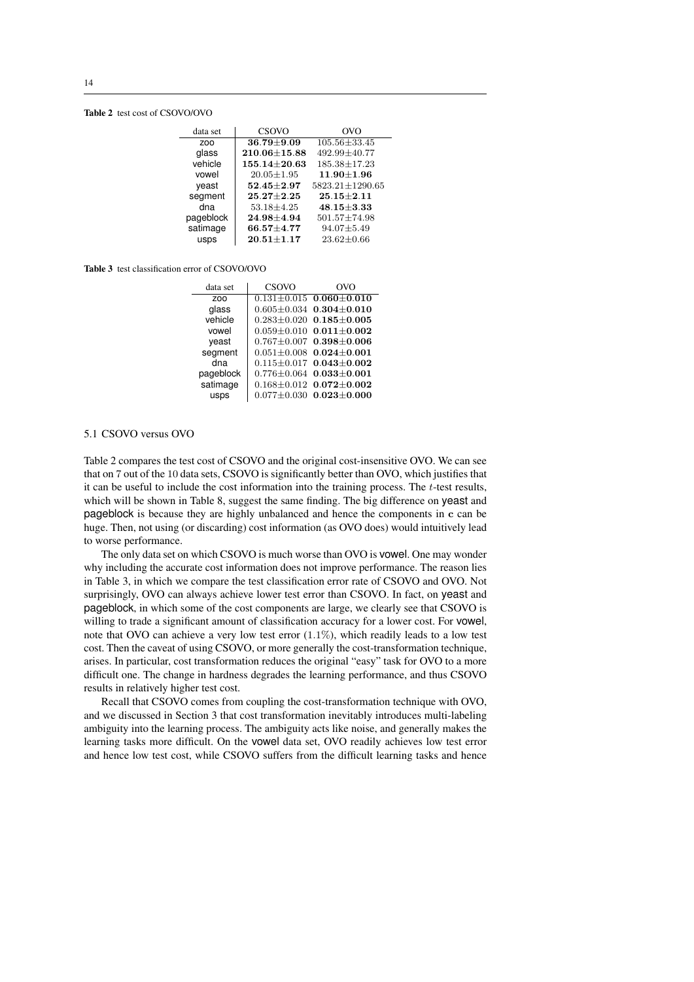#### Table 2 test cost of CSOVO/OVO

| data set   | CSOVO              | OVO                |
|------------|--------------------|--------------------|
| <b>ZOO</b> | $36.79 \pm 9.09$   | $105.56 \pm 33.45$ |
| glass      | $210.06 \pm 15.88$ | 492.99±40.77       |
| vehicle    | $155.14 \pm 20.63$ | $185.38 \pm 17.23$ |
| vowel      | $20.05 \pm 1.95$   | $11.90 + 1.96$     |
| veast      | $52.45 \pm 2.97$   | 5823.21±1290.65    |
| segment    | $25.27 \pm 2.25$   | $25.15 + 2.11$     |
| dna        | $53.18 \pm 4.25$   | $48.15 + 3.33$     |
| pageblock  | $24.98 \pm 4.94$   | $501.57 \pm 74.98$ |
| satimage   | $66.57 + 4.77$     | $94.07 \pm 5.49$   |
| usps       | $20.51 \pm 1.17$   | $23.62 \pm 0.66$   |

#### Table 3 test classification error of CSOVO/OVO

| data set        | CSOVO | OVO                                 |
|-----------------|-------|-------------------------------------|
| Z <sub>00</sub> |       | $0.131 \pm 0.015$ 0.060 $\pm$ 0.010 |
| glass           |       | $0.605 \pm 0.034$ 0.304 $\pm$ 0.010 |
| vehicle         |       | $0.283 \pm 0.020$ $0.185 \pm 0.005$ |
| vowel           |       | $0.059 \pm 0.010$ $0.011 \pm 0.002$ |
| yeast           |       | $0.767 \pm 0.007$ 0.398 $\pm$ 0.006 |
| segment         |       | $0.051 \pm 0.008$ 0.024 $\pm$ 0.001 |
| dna             |       | $0.115 \pm 0.017$ 0.043 $\pm$ 0.002 |
| pageblock       |       | $0.776 \pm 0.064$ 0.033 $\pm$ 0.001 |
| satimage        |       | $0.168 \pm 0.012$ $0.072 \pm 0.002$ |
| usps            |       | $0.077 \pm 0.030$ $0.023 \pm 0.000$ |

## 5.1 CSOVO versus OVO

Table 2 compares the test cost of CSOVO and the original cost-insensitive OVO. We can see that on 7 out of the 10 data sets, CSOVO is significantly better than OVO, which justifies that it can be useful to include the cost information into the training process. The  $t$ -test results, which will be shown in Table 8, suggest the same finding. The big difference on yeast and pageblock is because they are highly unbalanced and hence the components in c can be huge. Then, not using (or discarding) cost information (as OVO does) would intuitively lead to worse performance.

The only data set on which CSOVO is much worse than OVO is vowel. One may wonder why including the accurate cost information does not improve performance. The reason lies in Table 3, in which we compare the test classification error rate of CSOVO and OVO. Not surprisingly, OVO can always achieve lower test error than CSOVO. In fact, on yeast and pageblock, in which some of the cost components are large, we clearly see that CSOVO is willing to trade a significant amount of classification accuracy for a lower cost. For vowel, note that OVO can achieve a very low test error  $(1.1\%)$ , which readily leads to a low test cost. Then the caveat of using CSOVO, or more generally the cost-transformation technique, arises. In particular, cost transformation reduces the original "easy" task for OVO to a more difficult one. The change in hardness degrades the learning performance, and thus CSOVO results in relatively higher test cost.

Recall that CSOVO comes from coupling the cost-transformation technique with OVO, and we discussed in Section 3 that cost transformation inevitably introduces multi-labeling ambiguity into the learning process. The ambiguity acts like noise, and generally makes the learning tasks more difficult. On the vowel data set, OVO readily achieves low test error and hence low test cost, while CSOVO suffers from the difficult learning tasks and hence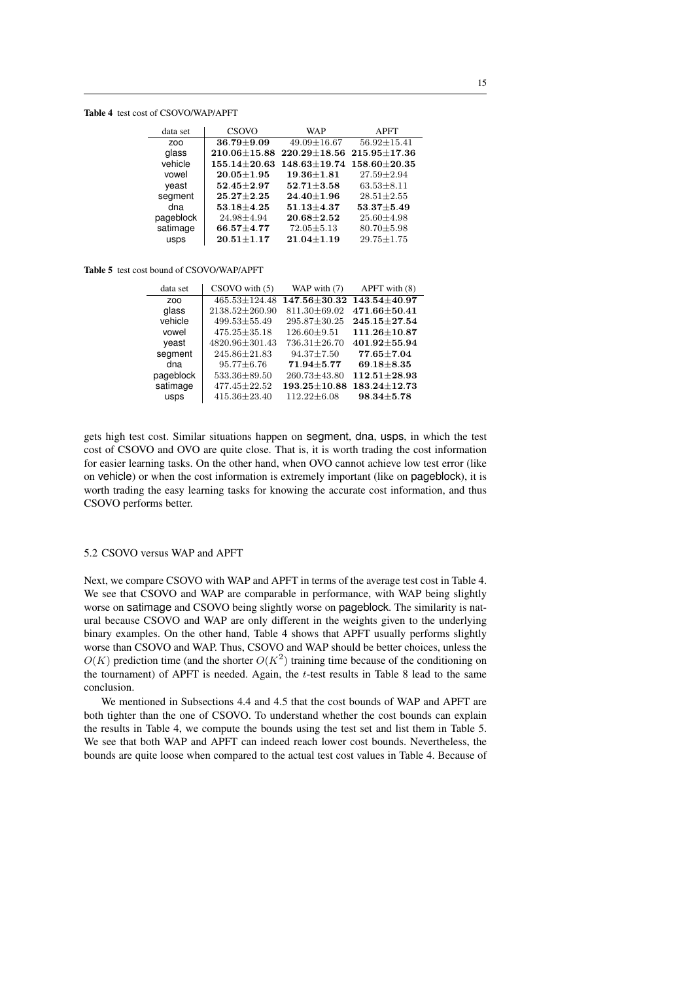#### Table 4 test cost of CSOVO/WAP/APFT

| data set   | CSOVO              | WAP                                   | <b>APFT</b>        |
|------------|--------------------|---------------------------------------|--------------------|
| <b>ZOO</b> | $36.79 \pm 9.09$   | $49.09 \pm 16.67$                     | $56.92 \pm 15.41$  |
| glass      | $210.06 \pm 15.88$ | $220.29 \pm 18.56$ 215.95 $\pm$ 17.36 |                    |
| vehicle    | $155.14 \pm 20.63$ | $148.63 \pm 19.74$                    | $158.60 \pm 20.35$ |
| vowel      | $20.05 \pm 1.95$   | $19.36 \pm 1.81$                      | $27.59 \pm 2.94$   |
| yeast      | $52.45 \pm 2.97$   | $52.71 \pm 3.58$                      | $63.53 \pm 8.11$   |
| segment    | $25.27 \pm 2.25$   | $24.40 \pm 1.96$                      | $28.51 \pm 2.55$   |
| dna        | $53.18 \pm 4.25$   | $51.13 \pm 4.37$                      | $53.37 \pm 5.49$   |
| pageblock  | $24.98 \pm 4.94$   | $20.68 \pm 2.52$                      | $25.60 \pm 4.98$   |
| satimage   | $66.57 + 4.77$     | $72.05 \pm 5.13$                      | $80.70 \pm 5.98$   |
| usps       | $20.51 \pm 1.17$   | $21.04 \pm 1.19$                      | $29.75 \pm 1.75$   |

#### Table 5 test cost bound of CSOVO/WAP/APFT

| data set        | $CSOVO$ with $(5)$   | WAP with (7)       | APFT with (8)      |
|-----------------|----------------------|--------------------|--------------------|
| Z <sub>00</sub> | $465.53 \pm 124.48$  | $147.56 + 30.32$   | 143.54±40.97       |
| glass           | $2138.52 \pm 260.90$ | $811.30 \pm 69.02$ | $471.66 \pm 50.41$ |
| vehicle         | $499.53 \pm 55.49$   | $295.87 \pm 30.25$ | $245.15 \pm 27.54$ |
| vowel           | $475.25 \pm 35.18$   | $126.60 \pm 9.51$  | $111.26 \pm 10.87$ |
| veast           | 4820.96±301.43       | 736.31±26.70       | $401.92 \pm 55.94$ |
| segment         | $245.86 \pm 21.83$   | $94.37 \pm 7.50$   | $77.65 \pm 7.04$   |
| dna             | $95.77 \pm 6.76$     | $71.94 + 5.77$     | $69.18 \pm 8.35$   |
| pageblock       | $533.36 \pm 89.50$   | 260.73±43.80       | $112.51 \pm 28.93$ |
| satimage        | $477.45 \pm 22.52$   | $193.25 \pm 10.88$ | $183.24 \pm 12.73$ |
| usps            | $415.36 \pm 23.40$   | $112.22 \pm 6.08$  | $98.34 \pm 5.78$   |

gets high test cost. Similar situations happen on segment, dna, usps, in which the test cost of CSOVO and OVO are quite close. That is, it is worth trading the cost information for easier learning tasks. On the other hand, when OVO cannot achieve low test error (like on vehicle) or when the cost information is extremely important (like on pageblock), it is worth trading the easy learning tasks for knowing the accurate cost information, and thus CSOVO performs better.

## 5.2 CSOVO versus WAP and APFT

Next, we compare CSOVO with WAP and APFT in terms of the average test cost in Table 4. We see that CSOVO and WAP are comparable in performance, with WAP being slightly worse on satimage and CSOVO being slightly worse on pageblock. The similarity is natural because CSOVO and WAP are only different in the weights given to the underlying binary examples. On the other hand, Table 4 shows that APFT usually performs slightly worse than CSOVO and WAP. Thus, CSOVO and WAP should be better choices, unless the  $O(K)$  prediction time (and the shorter  $O(K^2)$  training time because of the conditioning on the tournament) of APFT is needed. Again, the t-test results in Table 8 lead to the same conclusion.

We mentioned in Subsections 4.4 and 4.5 that the cost bounds of WAP and APFT are both tighter than the one of CSOVO. To understand whether the cost bounds can explain the results in Table 4, we compute the bounds using the test set and list them in Table 5. We see that both WAP and APFT can indeed reach lower cost bounds. Nevertheless, the bounds are quite loose when compared to the actual test cost values in Table 4. Because of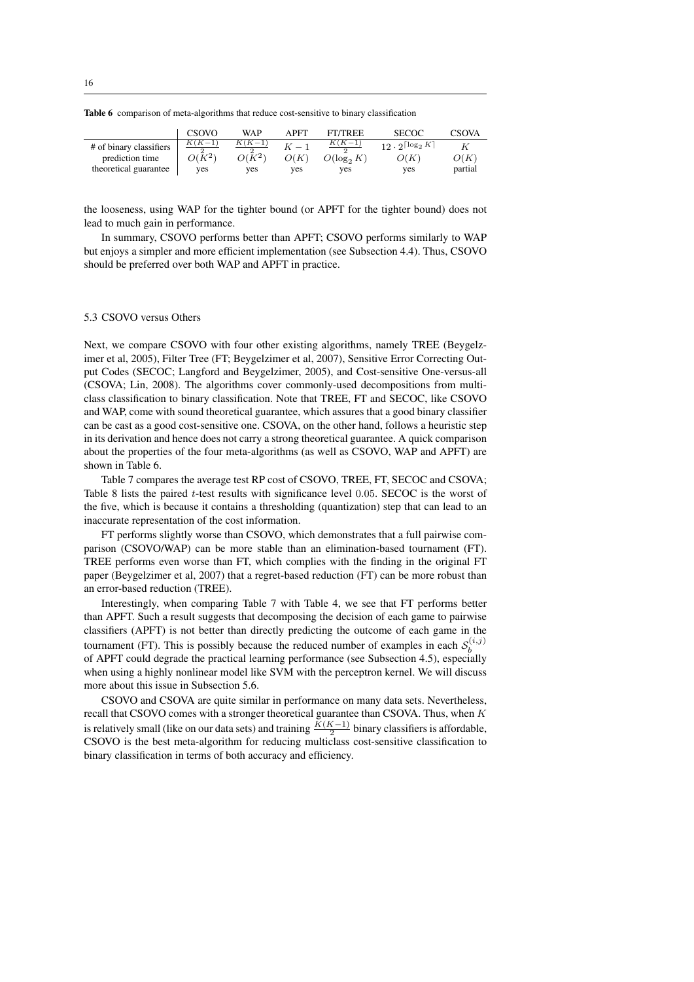| <b>Table 6</b> comparison of meta-algorithms that reduce cost-sensitive to binary classification |  |  |  |  |  |  |
|--------------------------------------------------------------------------------------------------|--|--|--|--|--|--|
|--------------------------------------------------------------------------------------------------|--|--|--|--|--|--|

|                         | CSOVO    | WAP      | APFT | <b>FT/TREE</b> | <b>SECOC</b>                     | <b>CSOVA</b> |
|-------------------------|----------|----------|------|----------------|----------------------------------|--------------|
| # of binary classifiers | $K(K-1)$ |          |      | $(K-1)$        | 12. $2^{\lceil \log_2 K \rceil}$ |              |
| prediction time         | $O(K^2)$ | $O(K^2)$ | O(K  | $O(\log_2 K)$  | O(K)                             | O(K)         |
| theoretical guarantee   | ves      | ves      | ves  | ves            | ves                              | partial      |

the looseness, using WAP for the tighter bound (or APFT for the tighter bound) does not lead to much gain in performance.

In summary, CSOVO performs better than APFT; CSOVO performs similarly to WAP but enjoys a simpler and more efficient implementation (see Subsection 4.4). Thus, CSOVO should be preferred over both WAP and APFT in practice.

## 5.3 CSOVO versus Others

Next, we compare CSOVO with four other existing algorithms, namely TREE (Beygelzimer et al, 2005), Filter Tree (FT; Beygelzimer et al, 2007), Sensitive Error Correcting Output Codes (SECOC; Langford and Beygelzimer, 2005), and Cost-sensitive One-versus-all (CSOVA; Lin, 2008). The algorithms cover commonly-used decompositions from multiclass classification to binary classification. Note that TREE, FT and SECOC, like CSOVO and WAP, come with sound theoretical guarantee, which assures that a good binary classifier can be cast as a good cost-sensitive one. CSOVA, on the other hand, follows a heuristic step in its derivation and hence does not carry a strong theoretical guarantee. A quick comparison about the properties of the four meta-algorithms (as well as CSOVO, WAP and APFT) are shown in Table 6.

Table 7 compares the average test RP cost of CSOVO, TREE, FT, SECOC and CSOVA; Table 8 lists the paired  $t$ -test results with significance level 0.05. SECOC is the worst of the five, which is because it contains a thresholding (quantization) step that can lead to an inaccurate representation of the cost information.

FT performs slightly worse than CSOVO, which demonstrates that a full pairwise comparison (CSOVO/WAP) can be more stable than an elimination-based tournament (FT). TREE performs even worse than FT, which complies with the finding in the original FT paper (Beygelzimer et al, 2007) that a regret-based reduction (FT) can be more robust than an error-based reduction (TREE).

Interestingly, when comparing Table 7 with Table 4, we see that FT performs better than APFT. Such a result suggests that decomposing the decision of each game to pairwise classifiers (APFT) is not better than directly predicting the outcome of each game in the tournament (FT). This is possibly because the reduced number of examples in each  $S_h^{(i,j)}$ burnament  $(1)$ . This is possibly because the reduced number of examples in each  $\sigma_b$  of APFT could degrade the practical learning performance (see Subsection 4.5), especially when using a highly nonlinear model like SVM with the perceptron kernel. We will discuss more about this issue in Subsection 5.6.

CSOVO and CSOVA are quite similar in performance on many data sets. Nevertheless, recall that CSOVO comes with a stronger theoretical guarantee than CSOVA. Thus, when K is relatively small (like on our data sets) and training  $\frac{K(K-1)}{2}$  binary classifiers is affordable, CSOVO is the best meta-algorithm for reducing multiclass cost-sensitive classification to binary classification in terms of both accuracy and efficiency.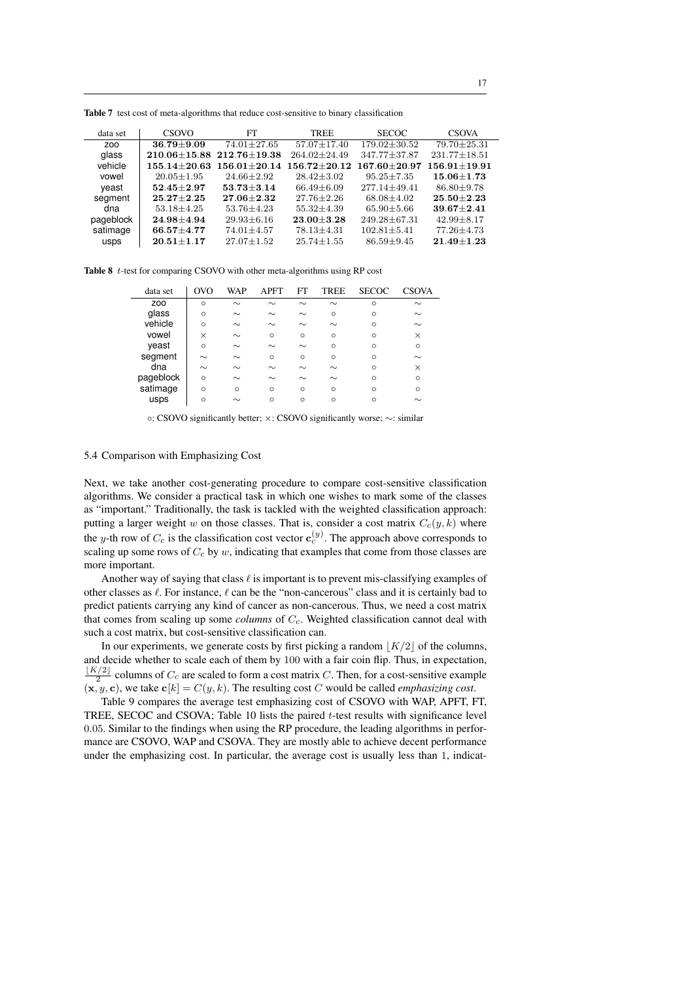| CSOVO            | FT               | TREE                              | <b>SECOC</b>       | <b>CSOVA</b>       |
|------------------|------------------|-----------------------------------|--------------------|--------------------|
| $36.79 + 9.09$   | $74.01 + 27.65$  | $57.07 + 17.40$                   | $179.02 + 30.52$   | $79.70 + 25.31$    |
|                  |                  | $264.02 + 24.49$                  | 347.77±37.87       | $231.77 \pm 18.51$ |
| $155.14 + 20.63$ | $156.01 + 20.14$ | $156.72 + 20.12$                  | $167.60 + 20.97$   | $156.91 + 19.91$   |
| $20.05 \pm 1.95$ | $24.66 + 2.92$   | $28.42 + 3.02$                    | $95.25 + 7.35$     | $15.06 + 1.73$     |
| $52.45 + 2.97$   | $53.73 + 3.14$   | $66.49 + 6.09$                    | $277.14 + 49.41$   | $86.80 + 9.78$     |
| $25.27 + 2.25$   | $27.06 + 2.32$   | $27.76 + 2.26$                    | $68.08 + 4.02$     | $25.50 + 2.23$     |
| $53.18 \pm 4.25$ | $53.76 \pm 4.23$ | $55.32 + 4.39$                    | $65.90 \pm 5.66$   | $39.67 + 2.41$     |
| $24.98 + 4.94$   | $29.93 \pm 6.16$ | $23.00 + 3.28$                    | $249.28 \pm 67.31$ | $42.99 + 8.17$     |
| $66.57 + 4.77$   | $74.01 \pm 4.57$ | $78.13 + 4.31$                    | $102.81 \pm 5.41$  | $77.26 \pm 4.73$   |
| $20.51 + 1.17$   | $27.07 + 1.52$   | $25.74 + 1.55$                    | $86.59 + 9.45$     | $21.49 + 1.23$     |
|                  |                  | $210.06 + 15.88$ $212.76 + 19.38$ |                    |                    |

Table 7 test cost of meta-algorithms that reduce cost-sensitive to binary classification

Table 8 t-test for comparing CSOVO with other meta-algorithms using RP cost

| data set        | OVO      | WAP     | <b>APFT</b> | FT      | TREE     | <b>SECOC</b> | <b>CSOVA</b> |
|-----------------|----------|---------|-------------|---------|----------|--------------|--------------|
| ZO <sub>O</sub> | $\Omega$ | $\sim$  | $\sim$      | $\sim$  | $\sim$   | $\Omega$     | $\sim$       |
| glass           | $\Omega$ | $\sim$  | $\sim$      | $\sim$  | $\Omega$ | $\Omega$     | $\sim$       |
| vehicle         | $\Omega$ | $\sim$  | $\sim$      | $\sim$  | $\sim$   | $\Omega$     | $\sim$       |
| vowel           | $\times$ | $\sim$  | $\circ$     | $\circ$ | $\Omega$ | $\Omega$     | $\times$     |
| yeast           | $\Omega$ | $\sim$  | $\sim$      | $\sim$  | $\Omega$ | $\Omega$     | $\circ$      |
| segment         | $\sim$   | $\sim$  | $\circ$     | $\circ$ | $\Omega$ | $\Omega$     | $\sim$       |
| dna             | $\sim$   | $\sim$  | $\sim$      | $\sim$  | $\sim$   | $\Omega$     | $\times$     |
| pageblock       | $\Omega$ | $\sim$  | $\sim$      | $\sim$  | $\sim$   | $\Omega$     | $\circ$      |
| satimage        | $\Omega$ | $\circ$ | $\circ$     | $\circ$ | $\Omega$ | $\Omega$     | $\Omega$     |
| usps            | $\Omega$ |         | $\circ$     | $\circ$ | $\Omega$ | $\Omega$     | $\sim$       |

◦: CSOVO significantly better; ×: CSOVO significantly worse; ∼: similar

## 5.4 Comparison with Emphasizing Cost

Next, we take another cost-generating procedure to compare cost-sensitive classification algorithms. We consider a practical task in which one wishes to mark some of the classes as "important." Traditionally, the task is tackled with the weighted classification approach: putting a larger weight w on those classes. That is, consider a cost matrix  $C_c(y, k)$  where the y-th row of  $C_c$  is the classification cost vector  $\mathbf{c}_c^{(y)}$ . The approach above corresponds to scaling up some rows of  $C_c$  by w, indicating that examples that come from those classes are more important.

Another way of saying that class  $\ell$  is important is to prevent mis-classifying examples of other classes as  $\ell$ . For instance,  $\ell$  can be the "non-cancerous" class and it is certainly bad to predict patients carrying any kind of cancer as non-cancerous. Thus, we need a cost matrix that comes from scaling up some *columns* of  $C_c$ . Weighted classification cannot deal with such a cost matrix, but cost-sensitive classification can.

In our experiments, we generate costs by first picking a random  $|K/2|$  of the columns, and decide whether to scale each of them by 100 with a fair coin flip. Thus, in expectation,  $\frac{\lfloor K/2 \rfloor}{2}$  columns of  $C_c$  are scaled to form a cost matrix C. Then, for a cost-sensitive example  $(\mathbf{x}, y, \mathbf{c})$ , we take  $\mathbf{c}[k] = C(y, k)$ . The resulting cost C would be called *emphasizing cost*.

Table 9 compares the average test emphasizing cost of CSOVO with WAP, APFT, FT, TREE, SECOC and CSOVA; Table 10 lists the paired t-test results with significance level 0.05. Similar to the findings when using the RP procedure, the leading algorithms in performance are CSOVO, WAP and CSOVA. They are mostly able to achieve decent performance under the emphasizing cost. In particular, the average cost is usually less than 1, indicat-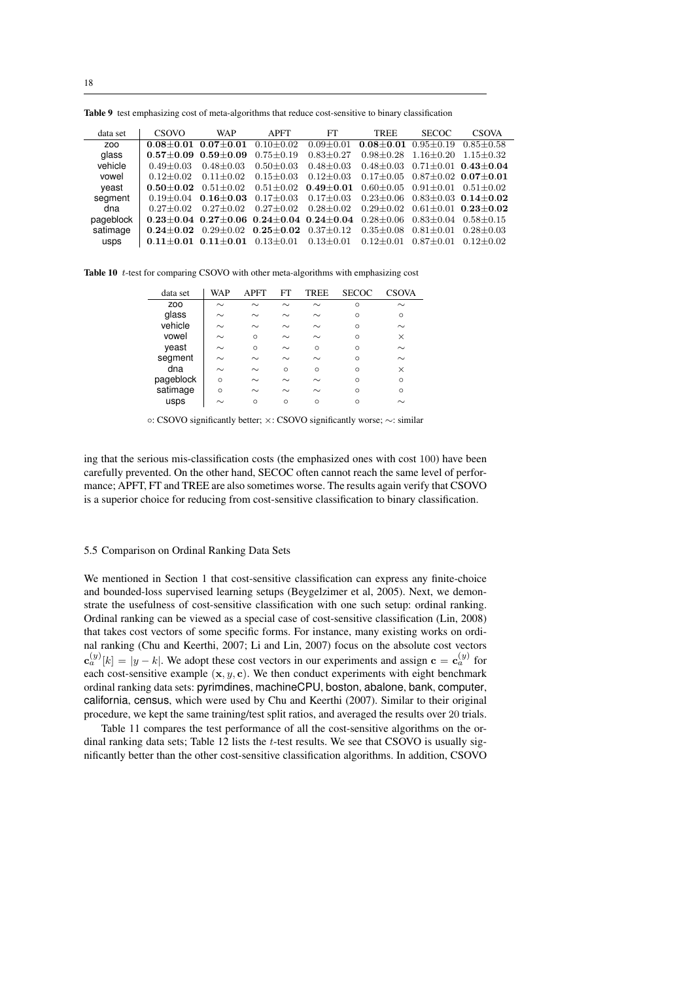|  | Table 9 test emphasizing cost of meta-algorithms that reduce cost-sensitive to binary classification |  |  |  |  |
|--|------------------------------------------------------------------------------------------------------|--|--|--|--|
|--|------------------------------------------------------------------------------------------------------|--|--|--|--|

| data set  | CSOVO         | <b>WAP</b>                                                      | <b>APFT</b>     | <b>FT</b>       | <b>TREE</b>   | <b>SECOC</b>  | <b>CSOVA</b>                |
|-----------|---------------|-----------------------------------------------------------------|-----------------|-----------------|---------------|---------------|-----------------------------|
| ZOO       | $0.08 + 0.01$ | $0.07 + 0.01$                                                   | $0.10 + 0.02$   | $0.09 + 0.01$   | $0.08 + 0.01$ | $0.95 + 0.19$ | $0.85 + 0.58$               |
| glass     | $0.57 + 0.09$ | $0.59 + 0.09$                                                   | $0.75 + 0.19$   | $0.83 + 0.27$   | $0.98 + 0.28$ | $1.16 + 0.20$ | $1.15 + 0.32$               |
| vehicle   | $0.49 + 0.03$ | $0.48 + 0.03$                                                   | $0.50 + 0.03$   | $0.48 + 0.03$   | $0.48 + 0.03$ |               | $0.71 + 0.01$ $0.43 + 0.04$ |
| vowel     | $0.12 + 0.02$ | $0.11 + 0.02$                                                   | $0.15 + 0.03$   | $0.12 + 0.03$   | $0.17 + 0.05$ |               | $0.87 + 0.02$ $0.07 + 0.01$ |
| veast     | $0.50 + 0.02$ | $0.51 + 0.02$                                                   | $0.51 + 0.02$   | $0.49 + 0.01$   | $0.60 + 0.05$ | $0.91 + 0.01$ | $0.51 + 0.02$               |
| segment   | $0.19 + 0.04$ | $0.16 + 0.03$                                                   | $0.17 + 0.03$   | $0.17 + 0.03$   | $0.23 + 0.06$ |               | $0.83 + 0.03$ $0.14 + 0.02$ |
| dna       | $0.27 + 0.02$ | $0.27 + 0.02$                                                   | $0.27 \pm 0.02$ | $0.28 \pm 0.02$ | $0.29 + 0.02$ |               | $0.61 + 0.01$ $0.23 + 0.02$ |
| pageblock |               | $0.23 \pm 0.04$ $0.27 \pm 0.06$ $0.24 \pm 0.04$ $0.24 \pm 0.04$ |                 |                 | $0.28 + 0.06$ | $0.83 + 0.04$ | $0.58 + 0.15$               |
| satimage  | $0.24 + 0.02$ | $0.29 \pm 0.02$                                                 | $0.25{\pm}0.02$ | $0.37 \pm 0.12$ | $0.35 + 0.08$ | $0.81 + 0.01$ | $0.28 + 0.03$               |
| usps      | $0.11 + 0.01$ | $0.11 + 0.01$                                                   | $0.13 \pm 0.01$ | $0.13 \pm 0.01$ | $0.12 + 0.01$ | $0.87 + 0.01$ | $0.12 + 0.02$               |

Table 10 t-test for comparing CSOVO with other meta-algorithms with emphasizing cost

| data set        | WAP      | <b>APFT</b> | FT      | <b>TREE</b> | <b>SECOC</b> | <b>CSOVA</b> |
|-----------------|----------|-------------|---------|-------------|--------------|--------------|
| ZO <sub>O</sub> | $\sim$   | $\sim$      | $\sim$  | $\sim$      | $\circ$      | $\sim$       |
| glass           | $\sim$   | $\sim$      | $\sim$  | $\sim$      | $\Omega$     | $\Omega$     |
| vehicle         | $\sim$   | $\sim$      | $\sim$  | $\sim$      | $\Omega$     | $\sim$       |
| vowel           | $\sim$   | $\Omega$    | $\sim$  | $\sim$      | $\Omega$     | $\times$     |
| veast           | $\sim$   | $\Omega$    | $\sim$  | $\Omega$    | $\Omega$     | $\sim$       |
| segment         | $\sim$   | $\sim$      | $\sim$  | $\sim$      | $\Omega$     | $\sim$       |
| dna             | $\sim$   | $\sim$      | $\circ$ | $\Omega$    | $\Omega$     | $\times$     |
| pageblock       | $\Omega$ | $\sim$      | $\sim$  | $\sim$      | $\Omega$     | $\circ$      |
| satimage        | $\Omega$ | $\sim$      | $\sim$  | $\sim$      | $\Omega$     | $\circ$      |
| usps            | $\sim$   | $\circ$     | $\circ$ | $\Omega$    | $\Omega$     |              |
|                 |          |             |         |             |              |              |

◦: CSOVO significantly better; ×: CSOVO significantly worse; ∼: similar

ing that the serious mis-classification costs (the emphasized ones with cost 100) have been carefully prevented. On the other hand, SECOC often cannot reach the same level of performance; APFT, FT and TREE are also sometimes worse. The results again verify that CSOVO is a superior choice for reducing from cost-sensitive classification to binary classification.

### 5.5 Comparison on Ordinal Ranking Data Sets

We mentioned in Section 1 that cost-sensitive classification can express any finite-choice and bounded-loss supervised learning setups (Beygelzimer et al, 2005). Next, we demonstrate the usefulness of cost-sensitive classification with one such setup: ordinal ranking. Ordinal ranking can be viewed as a special case of cost-sensitive classification (Lin, 2008) that takes cost vectors of some specific forms. For instance, many existing works on ordinal ranking (Chu and Keerthi, 2007; Li and Lin, 2007) focus on the absolute cost vectors  $\mathbf{c}_a^{(y)}[k] = |y - k|$ . We adopt these cost vectors in our experiments and assign  $\mathbf{c} = \mathbf{c}_a^{(y)}$  for each cost-sensitive example  $(x, y, c)$ . We then conduct experiments with eight benchmark ordinal ranking data sets: pyrimdines, machineCPU, boston, abalone, bank, computer, california, census, which were used by Chu and Keerthi (2007). Similar to their original procedure, we kept the same training/test split ratios, and averaged the results over 20 trials.

Table 11 compares the test performance of all the cost-sensitive algorithms on the ordinal ranking data sets; Table 12 lists the  $t$ -test results. We see that CSOVO is usually significantly better than the other cost-sensitive classification algorithms. In addition, CSOVO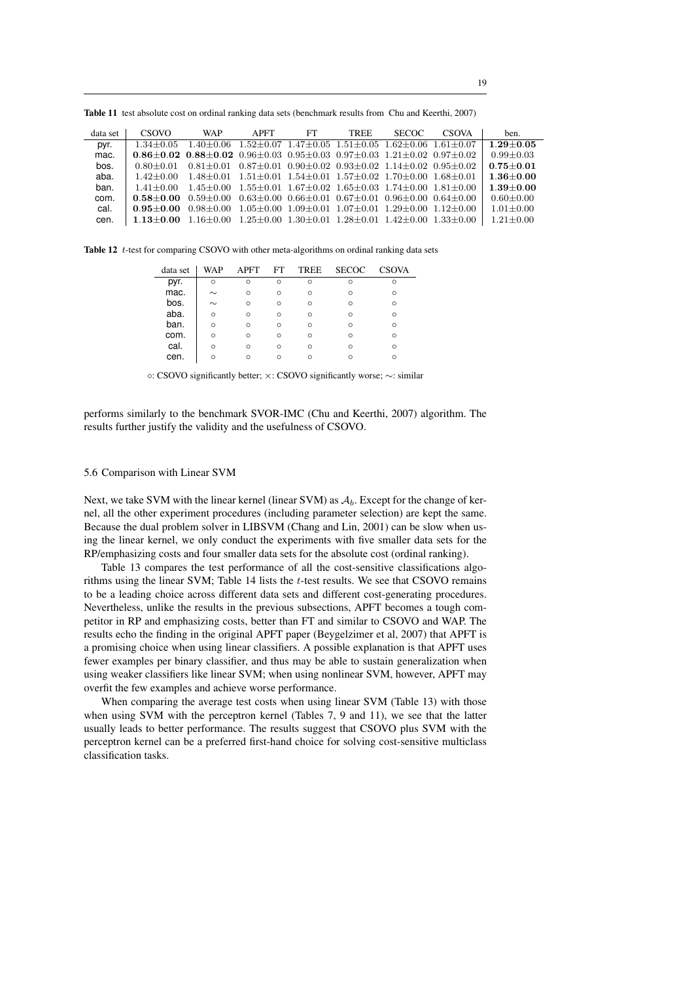19

Table 11 test absolute cost on ordinal ranking data sets (benchmark results from Chu and Keerthi, 2007)

| data set | CSOVO                                                                                                           | <b>WAP</b>                                                                          | <b>APFT</b> | FT | <b>TREE</b>                                                           | <b>SECOC</b> | <b>CSOVA</b> | ben.          |
|----------|-----------------------------------------------------------------------------------------------------------------|-------------------------------------------------------------------------------------|-------------|----|-----------------------------------------------------------------------|--------------|--------------|---------------|
| pyr.     | $1.34 + 0.05$                                                                                                   | $1.40\pm0.06$ $1.52\pm0.07$ $1.47\pm0.05$ $1.51\pm0.05$ $1.62\pm0.06$ $1.61\pm0.07$ |             |    |                                                                       |              |              | $1.29 + 0.05$ |
| mac.     | 0.86 $\pm$ 0.02 0.88 $\pm$ 0.02 0.96 $\pm$ 0.03 0.95 $\pm$ 0.03 0.97 $\pm$ 0.03 1.21 $\pm$ 0.02 0.97 $\pm$ 0.02 |                                                                                     |             |    |                                                                       |              |              | $0.99 + 0.03$ |
| bos.     | $0.80 + 0.01$                                                                                                   | $0.81 + 0.01$ $0.87 + 0.01$ $0.90 + 0.02$ $0.93 + 0.02$ $1.14 + 0.02$ $0.95 + 0.02$ |             |    |                                                                       |              |              | $0.75 + 0.01$ |
| aba.     | $1.42 + 0.00$                                                                                                   | $1.48\pm0.01$ $1.51\pm0.01$ $1.54\pm0.01$ $1.57\pm0.02$ $1.70\pm0.00$ $1.68\pm0.01$ |             |    |                                                                       |              |              | $1.36 + 0.00$ |
| ban.     | $1.41 + 0.00$                                                                                                   | $1.45 + 0.00$ $1.55 + 0.01$ $1.67 + 0.02$ $1.65 + 0.03$ $1.74 + 0.00$ $1.81 + 0.00$ |             |    |                                                                       |              |              | $1.39 + 0.00$ |
| com.     | $0.58 + 0.00$                                                                                                   | $0.59 + 0.00$                                                                       |             |    | $0.63 + 0.00$ $0.66 + 0.01$ $0.67 + 0.01$ $0.96 + 0.00$ $0.64 + 0.00$ |              |              | $0.60 + 0.00$ |
| cal.     | $0.95 + 0.00$                                                                                                   | $0.98 + 0.00$                                                                       |             |    | $1.05 + 0.00$ $1.09 + 0.01$ $1.07 + 0.01$ $1.29 + 0.00$ $1.12 + 0.00$ |              |              | $1.01 + 0.00$ |
| cen.     | $1.13\pm0.00$ $1.16\pm0.00$ $1.25\pm0.00$ $1.30\pm0.01$ $1.28\pm0.01$ $1.42\pm0.00$ $1.33\pm0.00$               |                                                                                     |             |    |                                                                       |              |              | $1.21 + 0.00$ |

Table 12 t-test for comparing CSOVO with other meta-algorithms on ordinal ranking data sets

| data set | <b>WAP</b> | <b>APFT</b> | FT       | TREE     | <b>SECOC</b> | <b>CSOVA</b> |
|----------|------------|-------------|----------|----------|--------------|--------------|
| pyr.     | $\circ$    | $\Omega$    | $\Omega$ | $\Omega$ | Ω            | Ω            |
| mac.     | $\sim$     | $\Omega$    | $\Omega$ | $\Omega$ | $\Omega$     | $\Omega$     |
| bos.     | $\sim$     | $\Omega$    | Ω        | $\Omega$ | Ω            | $\Omega$     |
| aba.     | Ω          | $\Omega$    | Ω        | Ω        | Ω            | $\Omega$     |
| ban.     | Ω          | $\Omega$    | ∩        | ∩        | ∩            | $\Omega$     |
| com.     | Ω          | $\Omega$    | ∩        | ∩        | ∩            | $\Omega$     |
| cal.     | Ω          | $\Omega$    | ∩        | Ω        | Ω            | $\Omega$     |
| cen.     | Ω          | ⌒           | n        |          |              | $\Omega$     |
|          |            |             |          |          |              |              |

◦: CSOVO significantly better; ×: CSOVO significantly worse; ∼: similar

performs similarly to the benchmark SVOR-IMC (Chu and Keerthi, 2007) algorithm. The results further justify the validity and the usefulness of CSOVO.

#### 5.6 Comparison with Linear SVM

Next, we take SVM with the linear kernel (linear SVM) as  $A_b$ . Except for the change of kernel, all the other experiment procedures (including parameter selection) are kept the same. Because the dual problem solver in LIBSVM (Chang and Lin, 2001) can be slow when using the linear kernel, we only conduct the experiments with five smaller data sets for the RP/emphasizing costs and four smaller data sets for the absolute cost (ordinal ranking).

Table 13 compares the test performance of all the cost-sensitive classifications algorithms using the linear SVM; Table 14 lists the  $t$ -test results. We see that CSOVO remains to be a leading choice across different data sets and different cost-generating procedures. Nevertheless, unlike the results in the previous subsections, APFT becomes a tough competitor in RP and emphasizing costs, better than FT and similar to CSOVO and WAP. The results echo the finding in the original APFT paper (Beygelzimer et al, 2007) that APFT is a promising choice when using linear classifiers. A possible explanation is that APFT uses fewer examples per binary classifier, and thus may be able to sustain generalization when using weaker classifiers like linear SVM; when using nonlinear SVM, however, APFT may overfit the few examples and achieve worse performance.

When comparing the average test costs when using linear SVM (Table 13) with those when using SVM with the perceptron kernel (Tables 7, 9 and 11), we see that the latter usually leads to better performance. The results suggest that CSOVO plus SVM with the perceptron kernel can be a preferred first-hand choice for solving cost-sensitive multiclass classification tasks.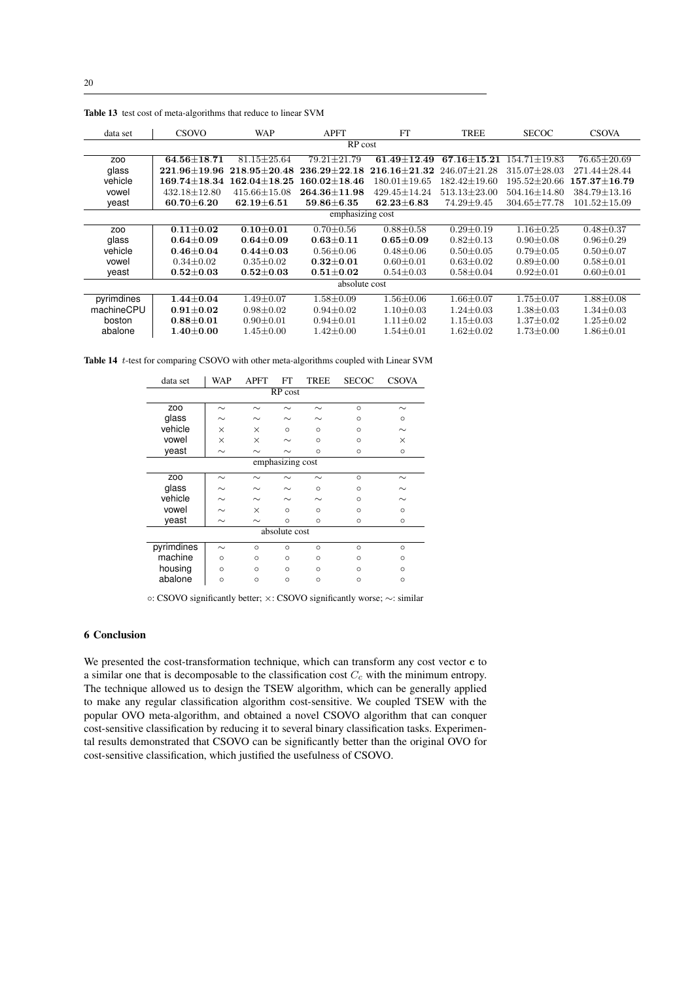| data set         | CSOVO                | <b>WAP</b>       | <b>APFT</b>      | <b>FT</b>          | TREE               | <b>SECOC</b>       | <b>CSOVA</b>         |  |  |
|------------------|----------------------|------------------|------------------|--------------------|--------------------|--------------------|----------------------|--|--|
| RP cost          |                      |                  |                  |                    |                    |                    |                      |  |  |
| ZO <sub>O</sub>  | $64.56 + 18.71$      | $81.15 + 25.64$  | $79.21 + 21.79$  | $61.49 + 12.49$    | $67.16 + 15.21$    | $154.71 \pm 19.83$ | $76.65 \pm 20.69$    |  |  |
| glass            | $221.96 \pm 19.96$   | $218.95 + 20.48$ | $236.29 + 22.18$ | $216.16 \pm 21.32$ | $246.07 \pm 21.28$ | 315.07±28.03       | 271.44±28.44         |  |  |
| vehicle          | $169.74 {\pm} 18.34$ | $162.04 + 18.25$ | $160.02 + 18.46$ | $180.01 \pm 19.65$ | $182.42 \pm 19.60$ | $195.52 \pm 20.66$ | $157.37 {\pm} 16.79$ |  |  |
| vowel            | $432.18 \pm 12.80$   | $415.66 + 15.08$ | $264.36 + 11.98$ | $429.45 + 14.24$   | $513.13 + 23.00$   | 504.16±14.80       | $384.79 \pm 13.16$   |  |  |
| yeast            | $60.70 \pm 6.20$     | $62.19 \pm 6.51$ | $59.86 \pm 6.35$ | $62.23 \pm 6.83$   | $74.29 \pm 9.45$   | 304.65±77.78       | $101.52 \pm 15.09$   |  |  |
| emphasizing cost |                      |                  |                  |                    |                    |                    |                      |  |  |
| ZO <sub>O</sub>  | $0.11 + 0.02$        | $0.10 + 0.01$    | $0.70 \pm 0.56$  | $0.88 \pm 0.58$    | $0.29 \pm 0.19$    | $1.16 \pm 0.25$    | $0.48 \pm 0.37$      |  |  |
| glass            | $0.64 \pm 0.09$      | $0.64 \pm 0.09$  | $0.63 \pm 0.11$  | $0.65 \pm 0.09$    | $0.82 \pm 0.13$    | $0.90 \pm 0.08$    | $0.96 \pm 0.29$      |  |  |
| vehicle          | $0.46 \pm 0.04$      | $0.44 + 0.03$    | $0.56 \pm 0.06$  | $0.48 \pm 0.06$    | $0.50 \pm 0.05$    | $0.79 \pm 0.05$    | $0.50 \pm 0.07$      |  |  |
| vowel            | $0.34 \pm 0.02$      | $0.35 \pm 0.02$  | $0.32 \pm 0.01$  | $0.60 \pm 0.01$    | $0.63 \pm 0.02$    | $0.89 \pm 0.00$    | $0.58 \pm 0.01$      |  |  |
| yeast            | $0.52 \pm 0.03$      | $0.52{\pm}0.03$  | $0.51 \pm 0.02$  | $0.54 \pm 0.03$    | $0.58 \pm 0.04$    | $0.92 \pm 0.01$    | $0.60 \pm 0.01$      |  |  |
| absolute cost    |                      |                  |                  |                    |                    |                    |                      |  |  |
| pyrimdines       | $1.44 \pm 0.04$      | $1.49 \pm 0.07$  | $1.58 \pm 0.09$  | $1.56 \pm 0.06$    | $1.66 \pm 0.07$    | $1.75 \pm 0.07$    | $1.88 \pm 0.08$      |  |  |
| machineCPU       | $0.91 + 0.02$        | $0.98 \pm 0.02$  | $0.94 \pm 0.02$  | $1.10 + 0.03$      | $1.24 \pm 0.03$    | $1.38 \pm 0.03$    | $1.34 \pm 0.03$      |  |  |
| boston           | $0.88 + 0.01$        | $0.90 \pm 0.01$  | $0.94 \pm 0.01$  | $1.11 \pm 0.02$    | $1.15 \pm 0.03$    | $1.37 \pm 0.02$    | $1.25 \pm 0.02$      |  |  |
| abalone          | $1.40 \pm 0.00$      | $1.45 \pm 0.00$  | $1.42 \pm 0.00$  | $1.54 \pm 0.01$    | $1.62 \pm 0.02$    | $1.73 \pm 0.00$    | $1.86 \pm 0.01$      |  |  |

Table 13 test cost of meta-algorithms that reduce to linear SVM

Table 14 t-test for comparing CSOVO with other meta-algorithms coupled with Linear SVM

| data set         | WAP      | <b>APFT</b> | FT       | TREE     | <b>SECOC</b> | <b>CSOVA</b> |  |  |  |
|------------------|----------|-------------|----------|----------|--------------|--------------|--|--|--|
| RP cost          |          |             |          |          |              |              |  |  |  |
| ZO <sub>O</sub>  | $\sim$   | $\sim$      | $\sim$   | $\sim$   | $\Omega$     | $\sim$       |  |  |  |
| glass            | $\sim$   | $\sim$      | $\sim$   | $\sim$   | $\Omega$     | $\Omega$     |  |  |  |
| vehicle          | $\times$ | $\times$    | $\Omega$ | $\Omega$ | $\Omega$     | $\sim$       |  |  |  |
| vowel            | $\times$ | $\times$    | $\sim$   | $\circ$  | $\Omega$     | $\times$     |  |  |  |
| yeast            | $\sim$   | $\sim$      | $\sim$   | $\Omega$ | $\circ$      | $\circ$      |  |  |  |
| emphasizing cost |          |             |          |          |              |              |  |  |  |
| ZO <sub>O</sub>  | $\sim$   | $\sim$      | $\sim$   | $\sim$   | $\circ$      | $\sim$       |  |  |  |
| glass            | $\sim$   | $\sim$      | $\sim$   | $\circ$  | $\circ$      | $\sim$       |  |  |  |
| vehicle          | $\sim$   | $\sim$      | $\sim$   | $\sim$   | $\Omega$     | $\sim$       |  |  |  |
| vowel            | $\sim$   | $\times$    | $\circ$  | $\Omega$ | $\Omega$     | $\Omega$     |  |  |  |
| veast            | $\sim$   | $\sim$      | $\circ$  | $\circ$  | $\circ$      | $\circ$      |  |  |  |
| absolute cost    |          |             |          |          |              |              |  |  |  |
| pyrimdines       | $\sim$   | $\circ$     | $\circ$  | $\circ$  | $\circ$      | $\circ$      |  |  |  |
| machine          | $\circ$  | $\circ$     | $\circ$  | $\circ$  | $\circ$      | $\circ$      |  |  |  |
| housing          | $\circ$  | $\circ$     | $\circ$  | $\circ$  | $\circ$      | $\circ$      |  |  |  |
| abalone          | $\circ$  | $\circ$     | $\circ$  | $\circ$  | $\circ$      | $\circ$      |  |  |  |

◦: CSOVO significantly better; ×: CSOVO significantly worse; ∼: similar

## 6 Conclusion

We presented the cost-transformation technique, which can transform any cost vector c to a similar one that is decomposable to the classification cost  $C_c$  with the minimum entropy. The technique allowed us to design the TSEW algorithm, which can be generally applied to make any regular classification algorithm cost-sensitive. We coupled TSEW with the popular OVO meta-algorithm, and obtained a novel CSOVO algorithm that can conquer cost-sensitive classification by reducing it to several binary classification tasks. Experimental results demonstrated that CSOVO can be significantly better than the original OVO for cost-sensitive classification, which justified the usefulness of CSOVO.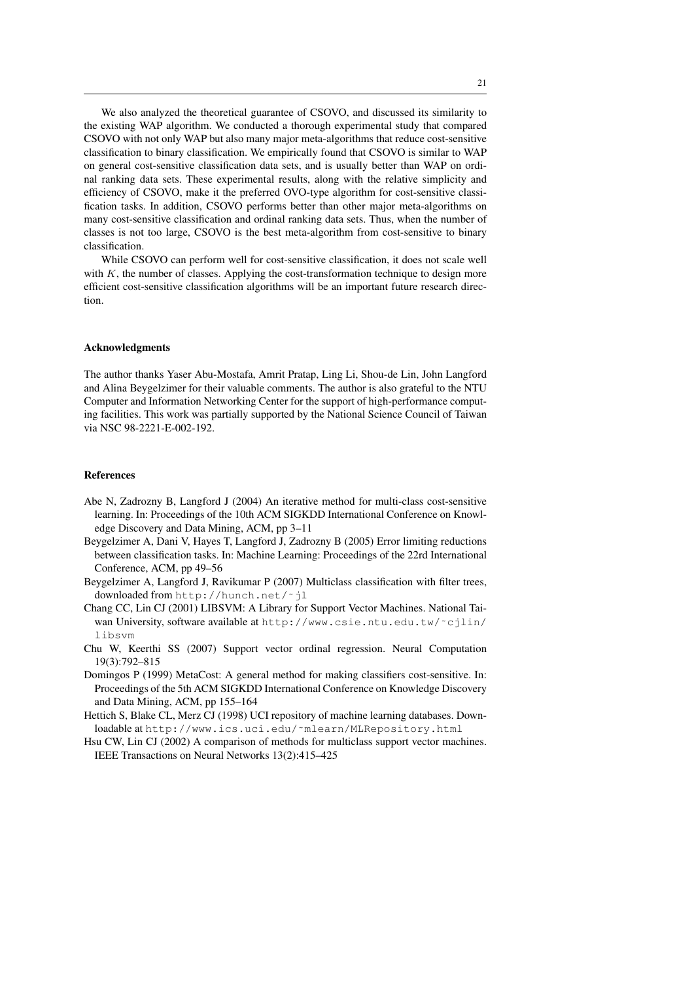We also analyzed the theoretical guarantee of CSOVO, and discussed its similarity to the existing WAP algorithm. We conducted a thorough experimental study that compared CSOVO with not only WAP but also many major meta-algorithms that reduce cost-sensitive classification to binary classification. We empirically found that CSOVO is similar to WAP on general cost-sensitive classification data sets, and is usually better than WAP on ordinal ranking data sets. These experimental results, along with the relative simplicity and efficiency of CSOVO, make it the preferred OVO-type algorithm for cost-sensitive classification tasks. In addition, CSOVO performs better than other major meta-algorithms on many cost-sensitive classification and ordinal ranking data sets. Thus, when the number of classes is not too large, CSOVO is the best meta-algorithm from cost-sensitive to binary classification.

While CSOVO can perform well for cost-sensitive classification, it does not scale well with  $K$ , the number of classes. Applying the cost-transformation technique to design more efficient cost-sensitive classification algorithms will be an important future research direction.

### Acknowledgments

The author thanks Yaser Abu-Mostafa, Amrit Pratap, Ling Li, Shou-de Lin, John Langford and Alina Beygelzimer for their valuable comments. The author is also grateful to the NTU Computer and Information Networking Center for the support of high-performance computing facilities. This work was partially supported by the National Science Council of Taiwan via NSC 98-2221-E-002-192.

### References

- Abe N, Zadrozny B, Langford J (2004) An iterative method for multi-class cost-sensitive learning. In: Proceedings of the 10th ACM SIGKDD International Conference on Knowledge Discovery and Data Mining, ACM, pp 3–11
- Beygelzimer A, Dani V, Hayes T, Langford J, Zadrozny B (2005) Error limiting reductions between classification tasks. In: Machine Learning: Proceedings of the 22rd International Conference, ACM, pp 49–56
- Beygelzimer A, Langford J, Ravikumar P (2007) Multiclass classification with filter trees, downloaded from http://hunch.net/˜jl
- Chang CC, Lin CJ (2001) LIBSVM: A Library for Support Vector Machines. National Taiwan University, software available at http://www.csie.ntu.edu.tw/˜cjlin/ libsvm
- Chu W, Keerthi SS (2007) Support vector ordinal regression. Neural Computation 19(3):792–815
- Domingos P (1999) MetaCost: A general method for making classifiers cost-sensitive. In: Proceedings of the 5th ACM SIGKDD International Conference on Knowledge Discovery and Data Mining, ACM, pp 155–164
- Hettich S, Blake CL, Merz CJ (1998) UCI repository of machine learning databases. Downloadable at http://www.ics.uci.edu/˜mlearn/MLRepository.html
- Hsu CW, Lin CJ (2002) A comparison of methods for multiclass support vector machines. IEEE Transactions on Neural Networks 13(2):415–425